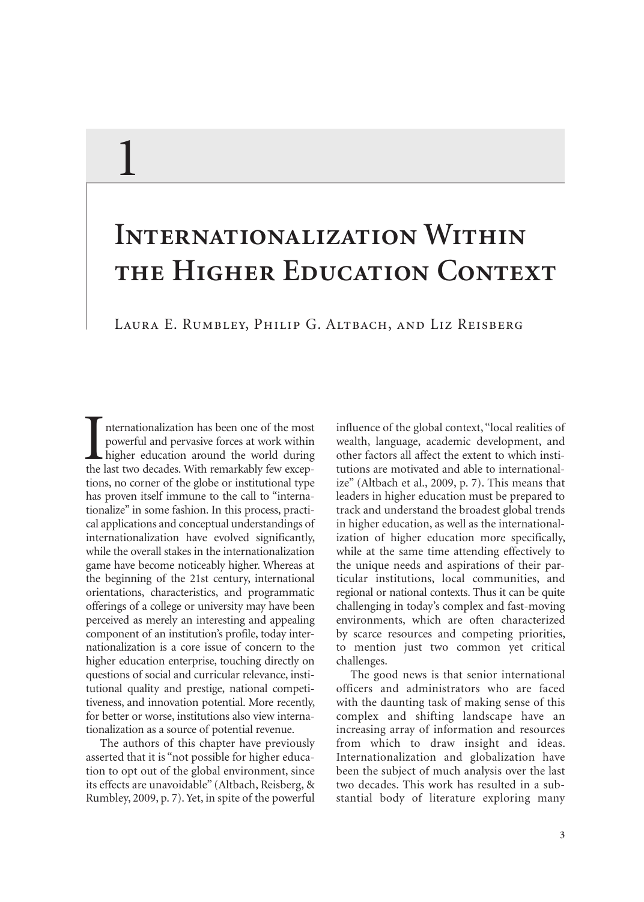# 1

# **Internationalization Within the Higher Education Context**

Laura E. Rumbley, Philip G. Altbach, and Liz Reisberg

Internationalization has been one of the most<br>powerful and pervasive forces at work within<br>higher education around the world during<br>the last two decades. With remarkably few excepnternationalization has been one of the most powerful and pervasive forces at work within higher education around the world during tions, no corner of the globe or institutional type has proven itself immune to the call to "internationalize" in some fashion. In this process, practical applications and conceptual understandings of internationalization have evolved significantly, while the overall stakes in the internationalization game have become noticeably higher. Whereas at the beginning of the 21st century, international orientations, characteristics, and programmatic offerings of a college or university may have been perceived as merely an interesting and appealing component of an institution's profile, today internationalization is a core issue of concern to the higher education enterprise, touching directly on questions of social and curricular relevance, institutional quality and prestige, national competitiveness, and innovation potential. More recently, for better or worse, institutions also view internationalization as a source of potential revenue.

The authors of this chapter have previously asserted that it is "not possible for higher education to opt out of the global environment, since its effects are unavoidable" (Altbach, Reisberg, & Rumbley, 2009, p. 7). Yet, in spite of the powerful

influence of the global context, "local realities of wealth, language, academic development, and other factors all affect the extent to which institutions are motivated and able to internationalize" (Altbach et al., 2009, p. 7). This means that leaders in higher education must be prepared to track and understand the broadest global trends in higher education, as well as the internationalization of higher education more specifically, while at the same time attending effectively to the unique needs and aspirations of their particular institutions, local communities, and regional or national contexts. Thus it can be quite challenging in today's complex and fast-moving environments, which are often characterized by scarce resources and competing priorities, to mention just two common yet critical challenges.

The good news is that senior international officers and administrators who are faced with the daunting task of making sense of this complex and shifting landscape have an increasing array of information and resources from which to draw insight and ideas. Internationalization and globalization have been the subject of much analysis over the last two decades. This work has resulted in a substantial body of literature exploring many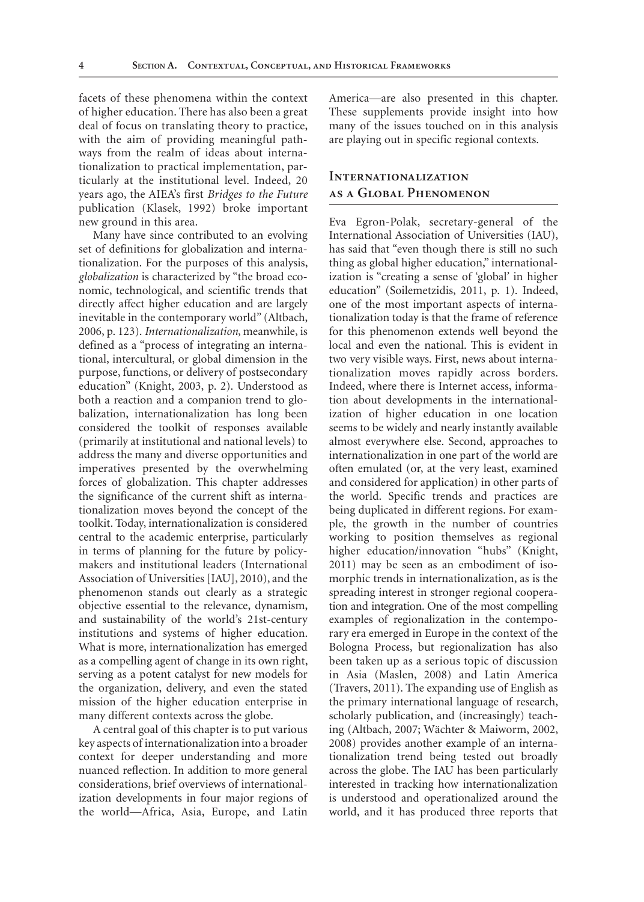facets of these phenomena within the context of higher education. There has also been a great deal of focus on translating theory to practice, with the aim of providing meaningful pathways from the realm of ideas about internationalization to practical implementation, particularly at the institutional level. Indeed, 20 years ago, the AIEA's first *Bridges to the Future* publication (Klasek, 1992) broke important new ground in this area.

Many have since contributed to an evolving set of definitions for globalization and internationalization. For the purposes of this analysis, *globalization* is characterized by "the broad economic, technological, and scientific trends that directly affect higher education and are largely inevitable in the contemporary world" (Altbach, 2006, p. 123). *Internationalization*, meanwhile, is defined as a "process of integrating an international, intercultural, or global dimension in the purpose, functions, or delivery of postsecondary education" (Knight, 2003, p. 2). Understood as both a reaction and a companion trend to globalization, internationalization has long been considered the toolkit of responses available (primarily at institutional and national levels) to address the many and diverse opportunities and imperatives presented by the overwhelming forces of globalization. This chapter addresses the significance of the current shift as internationalization moves beyond the concept of the toolkit. Today, internationalization is considered central to the academic enterprise, particularly in terms of planning for the future by policymakers and institutional leaders (International Association of Universities [IAU], 2010), and the phenomenon stands out clearly as a strategic objective essential to the relevance, dynamism, and sustainability of the world's 21st-century institutions and systems of higher education. What is more, internationalization has emerged as a compelling agent of change in its own right, serving as a potent catalyst for new models for the organization, delivery, and even the stated mission of the higher education enterprise in many different contexts across the globe.

A central goal of this chapter is to put various key aspects of internationalization into a broader context for deeper understanding and more nuanced reflection. In addition to more general considerations, brief overviews of internationalization developments in four major regions of the world—Africa, Asia, Europe, and Latin

America—are also presented in this chapter. These supplements provide insight into how many of the issues touched on in this analysis are playing out in specific regional contexts.

### **Internationalization as a Global Phenomenon**

Eva Egron-Polak, secretary-general of the International Association of Universities (IAU), has said that "even though there is still no such thing as global higher education," internationalization is "creating a sense of 'global' in higher education" (Soilemetzidis, 2011, p. 1). Indeed, one of the most important aspects of internationalization today is that the frame of reference for this phenomenon extends well beyond the local and even the national. This is evident in two very visible ways. First, news about internationalization moves rapidly across borders. Indeed, where there is Internet access, information about developments in the internationalization of higher education in one location seems to be widely and nearly instantly available almost everywhere else. Second, approaches to internationalization in one part of the world are often emulated (or, at the very least, examined and considered for application) in other parts of the world. Specific trends and practices are being duplicated in different regions. For example, the growth in the number of countries working to position themselves as regional higher education/innovation "hubs" (Knight, 2011) may be seen as an embodiment of isomorphic trends in internationalization, as is the spreading interest in stronger regional cooperation and integration. One of the most compelling examples of regionalization in the contemporary era emerged in Europe in the context of the Bologna Process, but regionalization has also been taken up as a serious topic of discussion in Asia (Maslen, 2008) and Latin America (Travers, 2011). The expanding use of English as the primary international language of research, scholarly publication, and (increasingly) teaching (Altbach, 2007; Wächter & Maiworm, 2002, 2008) provides another example of an internationalization trend being tested out broadly across the globe. The IAU has been particularly interested in tracking how internationalization is understood and operationalized around the world, and it has produced three reports that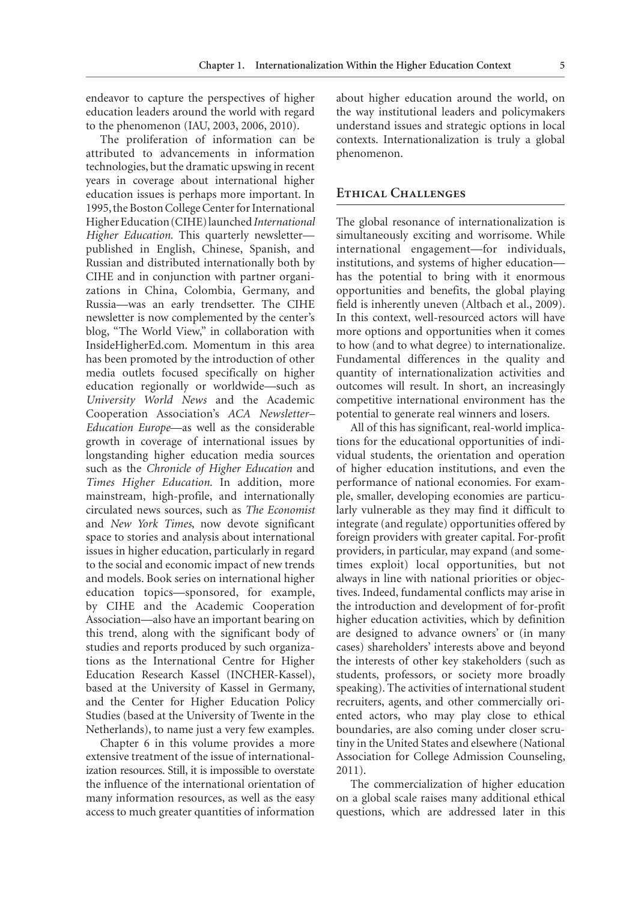endeavor to capture the perspectives of higher education leaders around the world with regard to the phenomenon (IAU, 2003, 2006, 2010).

The proliferation of information can be attributed to advancements in information technologies, but the dramatic upswing in recent years in coverage about international higher education issues is perhaps more important. In 1995, the Boston College Center for International Higher Education (CIHE)launched *International Higher Education.* This quarterly newsletter published in English, Chinese, Spanish, and Russian and distributed internationally both by CIHE and in conjunction with partner organizations in China, Colombia, Germany, and Russia—was an early trendsetter. The CIHE newsletter is now complemented by the center's blog, "The World View," in collaboration with InsideHigherEd.com. Momentum in this area has been promoted by the introduction of other media outlets focused specifically on higher education regionally or worldwide—such as *University World News* and the Academic Cooperation Association's *ACA Newsletter– Education Europe*—as well as the considerable growth in coverage of international issues by longstanding higher education media sources such as the *Chronicle of Higher Education* and *Times Higher Education*. In addition, more mainstream, high-profile, and internationally circulated news sources, such as *The Economist* and *New York Times*, now devote significant space to stories and analysis about international issues in higher education, particularly in regard to the social and economic impact of new trends and models. Book series on international higher education topics—sponsored, for example, by CIHE and the Academic Cooperation Association—also have an important bearing on this trend, along with the significant body of studies and reports produced by such organizations as the International Centre for Higher Education Research Kassel (INCHER-Kassel), based at the University of Kassel in Germany, and the Center for Higher Education Policy Studies (based at the University of Twente in the Netherlands), to name just a very few examples.

Chapter 6 in this volume provides a more extensive treatment of the issue of internationalization resources. Still, it is impossible to overstate the influence of the international orientation of many information resources, as well as the easy access to much greater quantities of information

about higher education around the world, on the way institutional leaders and policymakers understand issues and strategic options in local contexts. Internationalization is truly a global phenomenon.

#### **Ethical Challenges**

The global resonance of internationalization is simultaneously exciting and worrisome. While international engagement—for individuals, institutions, and systems of higher education has the potential to bring with it enormous opportunities and benefits, the global playing field is inherently uneven (Altbach et al., 2009). In this context, well-resourced actors will have more options and opportunities when it comes to how (and to what degree) to internationalize. Fundamental differences in the quality and quantity of internationalization activities and outcomes will result. In short, an increasingly competitive international environment has the potential to generate real winners and losers.

All of this has significant, real-world implications for the educational opportunities of individual students, the orientation and operation of higher education institutions, and even the performance of national economies. For example, smaller, developing economies are particularly vulnerable as they may find it difficult to integrate (and regulate) opportunities offered by foreign providers with greater capital. For-profit providers, in particular, may expand (and sometimes exploit) local opportunities, but not always in line with national priorities or objectives. Indeed, fundamental conflicts may arise in the introduction and development of for-profit higher education activities, which by definition are designed to advance owners' or (in many cases) shareholders' interests above and beyond the interests of other key stakeholders (such as students, professors, or society more broadly speaking). The activities of international student recruiters, agents, and other commercially oriented actors, who may play close to ethical boundaries, are also coming under closer scrutiny in the United States and elsewhere (National Association for College Admission Counseling, 2011).

The commercialization of higher education on a global scale raises many additional ethical questions, which are addressed later in this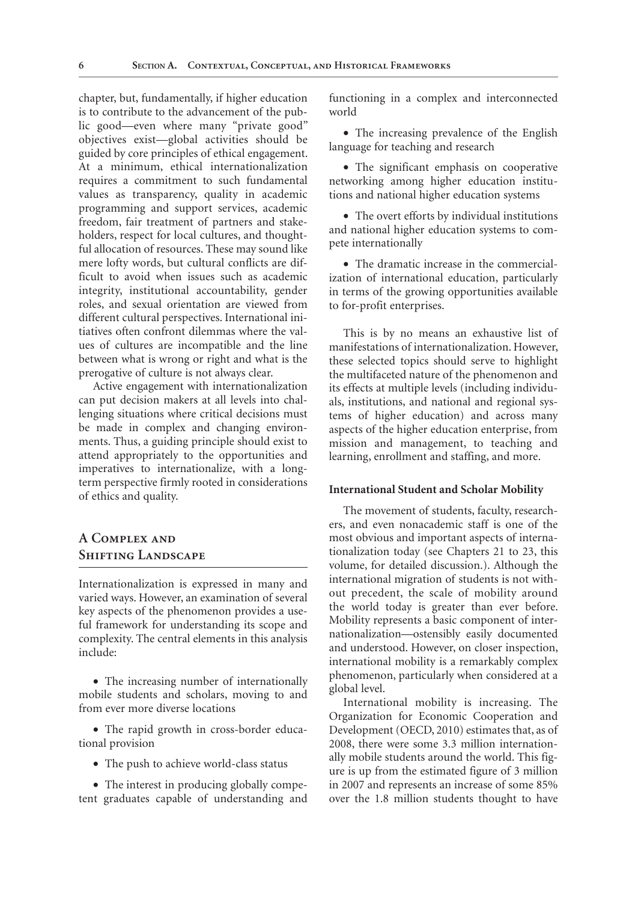chapter, but, fundamentally, if higher education is to contribute to the advancement of the public good—even where many "private good" objectives exist—global activities should be guided by core principles of ethical engagement. At a minimum, ethical internationalization requires a commitment to such fundamental values as transparency, quality in academic programming and support services, academic freedom, fair treatment of partners and stakeholders, respect for local cultures, and thoughtful allocation of resources. These may sound like mere lofty words, but cultural conflicts are difficult to avoid when issues such as academic integrity, institutional accountability, gender roles, and sexual orientation are viewed from different cultural perspectives. International initiatives often confront dilemmas where the values of cultures are incompatible and the line between what is wrong or right and what is the prerogative of culture is not always clear.

Active engagement with internationalization can put decision makers at all levels into challenging situations where critical decisions must be made in complex and changing environments. Thus, a guiding principle should exist to attend appropriately to the opportunities and imperatives to internationalize, with a longterm perspective firmly rooted in considerations of ethics and quality.

# **A Complex and Shifting Landscape**

Internationalization is expressed in many and varied ways. However, an examination of several key aspects of the phenomenon provides a useful framework for understanding its scope and complexity. The central elements in this analysis include:

• The increasing number of internationally mobile students and scholars, moving to and from ever more diverse locations

• The rapid growth in cross-border educational provision

• The push to achieve world-class status

• The interest in producing globally competent graduates capable of understanding and functioning in a complex and interconnected world

• The increasing prevalence of the English language for teaching and research

• The significant emphasis on cooperative networking among higher education institutions and national higher education systems

• The overt efforts by individual institutions and national higher education systems to compete internationally

• The dramatic increase in the commercialization of international education, particularly in terms of the growing opportunities available to for-profit enterprises.

This is by no means an exhaustive list of manifestations of internationalization. However, these selected topics should serve to highlight the multifaceted nature of the phenomenon and its effects at multiple levels (including individuals, institutions, and national and regional systems of higher education) and across many aspects of the higher education enterprise, from mission and management, to teaching and learning, enrollment and staffing, and more.

#### **International Student and Scholar Mobility**

The movement of students, faculty, researchers, and even nonacademic staff is one of the most obvious and important aspects of internationalization today (see Chapters 21 to 23, this volume, for detailed discussion.). Although the international migration of students is not without precedent, the scale of mobility around the world today is greater than ever before. Mobility represents a basic component of internationalization—ostensibly easily documented and understood. However, on closer inspection, international mobility is a remarkably complex phenomenon, particularly when considered at a global level.

International mobility is increasing. The Organization for Economic Cooperation and Development (OECD, 2010) estimates that, as of 2008, there were some 3.3 million internationally mobile students around the world. This figure is up from the estimated figure of 3 million in 2007 and represents an increase of some 85% over the 1.8 million students thought to have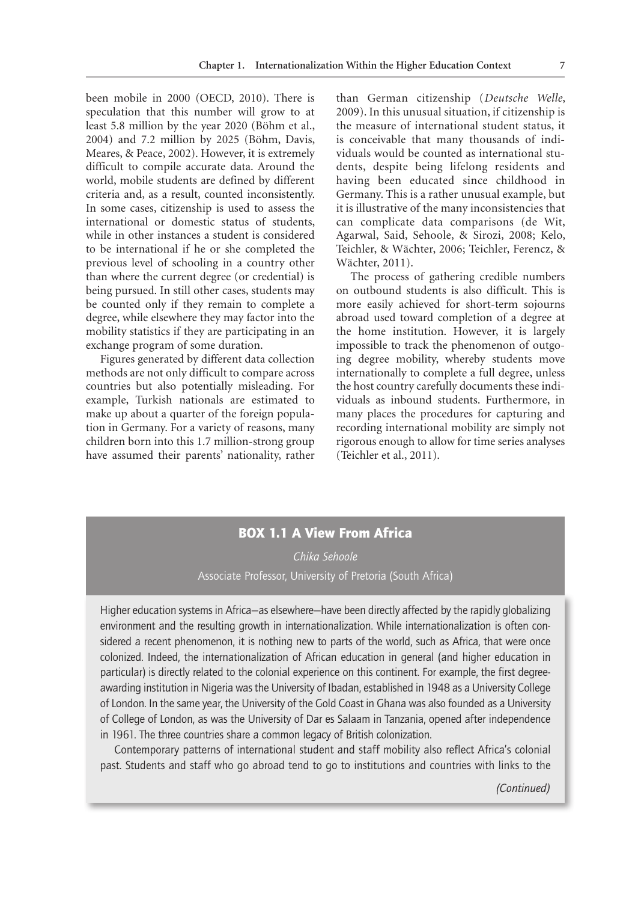been mobile in 2000 (OECD, 2010). There is speculation that this number will grow to at least 5.8 million by the year 2020 (Böhm et al., 2004) and 7.2 million by 2025 (Böhm, Davis, Meares, & Peace, 2002). However, it is extremely difficult to compile accurate data. Around the world, mobile students are defined by different criteria and, as a result, counted inconsistently. In some cases, citizenship is used to assess the international or domestic status of students, while in other instances a student is considered to be international if he or she completed the previous level of schooling in a country other than where the current degree (or credential) is being pursued. In still other cases, students may be counted only if they remain to complete a degree, while elsewhere they may factor into the mobility statistics if they are participating in an exchange program of some duration.

Figures generated by different data collection methods are not only difficult to compare across countries but also potentially misleading. For example, Turkish nationals are estimated to make up about a quarter of the foreign population in Germany. For a variety of reasons, many children born into this 1.7 million-strong group have assumed their parents' nationality, rather

than German citizenship (*Deutsche Welle*, 2009). In this unusual situation, if citizenship is the measure of international student status, it is conceivable that many thousands of individuals would be counted as international students, despite being lifelong residents and having been educated since childhood in Germany. This is a rather unusual example, but it is illustrative of the many inconsistencies that can complicate data comparisons (de Wit, Agarwal, Said, Sehoole, & Sirozi, 2008; Kelo, Teichler, & Wächter, 2006; Teichler, Ferencz, & Wächter, 2011).

The process of gathering credible numbers on outbound students is also difficult. This is more easily achieved for short-term sojourns abroad used toward completion of a degree at the home institution. However, it is largely impossible to track the phenomenon of outgoing degree mobility, whereby students move internationally to complete a full degree, unless the host country carefully documents these individuals as inbound students. Furthermore, in many places the procedures for capturing and recording international mobility are simply not rigorous enough to allow for time series analyses (Teichler et al., 2011).

# BOX 1.1 A View From Africa

*Chika Sehoole* Associate Professor, University of Pretoria (South Africa)

Higher education systems in Africa—as elsewhere—have been directly affected by the rapidly globalizing environment and the resulting growth in internationalization. While internationalization is often considered a recent phenomenon, it is nothing new to parts of the world, such as Africa, that were once colonized. Indeed, the internationalization of African education in general (and higher education in particular) is directly related to the colonial experience on this continent. For example, the first degreeawarding institution in Nigeria was the University of Ibadan, established in 1948 as a University College of London. In the same year, the University of the Gold Coast in Ghana was also founded as a University of College of London, as was the University of Dar es Salaam in Tanzania, opened after independence in 1961. The three countries share a common legacy of British colonization.

Contemporary patterns of international student and staff mobility also reflect Africa's colonial past. Students and staff who go abroad tend to go to institutions and countries with links to the

*(Continued)*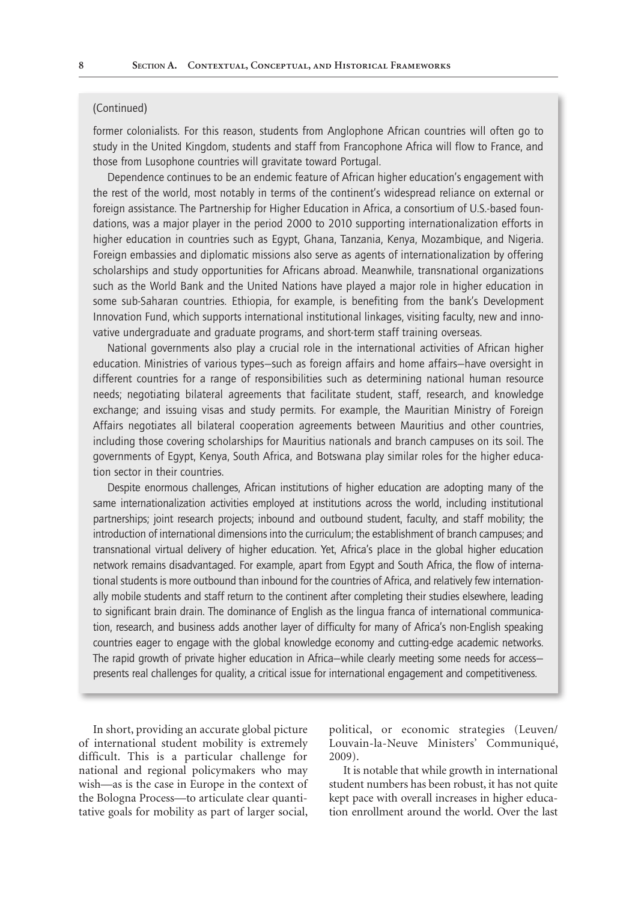#### (Continued)

former colonialists. For this reason, students from Anglophone African countries will often go to study in the United Kingdom, students and staff from Francophone Africa will flow to France, and those from Lusophone countries will gravitate toward Portugal.

Dependence continues to be an endemic feature of African higher education's engagement with the rest of the world, most notably in terms of the continent's widespread reliance on external or foreign assistance. The Partnership for Higher Education in Africa, a consortium of U.S.-based foundations, was a major player in the period 2000 to 2010 supporting internationalization efforts in higher education in countries such as Egypt, Ghana, Tanzania, Kenya, Mozambique, and Nigeria. Foreign embassies and diplomatic missions also serve as agents of internationalization by offering scholarships and study opportunities for Africans abroad. Meanwhile, transnational organizations such as the World Bank and the United Nations have played a major role in higher education in some sub-Saharan countries. Ethiopia, for example, is benefiting from the bank's Development Innovation Fund, which supports international institutional linkages, visiting faculty, new and innovative undergraduate and graduate programs, and short-term staff training overseas.

National governments also play a crucial role in the international activities of African higher education. Ministries of various types—such as foreign affairs and home affairs—have oversight in different countries for a range of responsibilities such as determining national human resource needs; negotiating bilateral agreements that facilitate student, staff, research, and knowledge exchange; and issuing visas and study permits. For example, the Mauritian Ministry of Foreign Affairs negotiates all bilateral cooperation agreements between Mauritius and other countries, including those covering scholarships for Mauritius nationals and branch campuses on its soil. The governments of Egypt, Kenya, South Africa, and Botswana play similar roles for the higher education sector in their countries.

Despite enormous challenges, African institutions of higher education are adopting many of the same internationalization activities employed at institutions across the world, including institutional partnerships; joint research projects; inbound and outbound student, faculty, and staff mobility; the introduction of international dimensions into the curriculum; the establishment of branch campuses; and transnational virtual delivery of higher education. Yet, Africa's place in the global higher education network remains disadvantaged. For example, apart from Egypt and South Africa, the flow of international students is more outbound than inbound for the countries of Africa, and relatively few internationally mobile students and staff return to the continent after completing their studies elsewhere, leading to significant brain drain. The dominance of English as the lingua franca of international communication, research, and business adds another layer of difficulty for many of Africa's non-English speaking countries eager to engage with the global knowledge economy and cutting-edge academic networks. The rapid growth of private higher education in Africa—while clearly meeting some needs for access presents real challenges for quality, a critical issue for international engagement and competitiveness.

In short, providing an accurate global picture of international student mobility is extremely difficult. This is a particular challenge for national and regional policymakers who may wish—as is the case in Europe in the context of the Bologna Process—to articulate clear quantitative goals for mobility as part of larger social,

political, or economic strategies (Leuven/ Louvain-la-Neuve Ministers' Communiqué, 2009).

It is notable that while growth in international student numbers has been robust, it has not quite kept pace with overall increases in higher education enrollment around the world. Over the last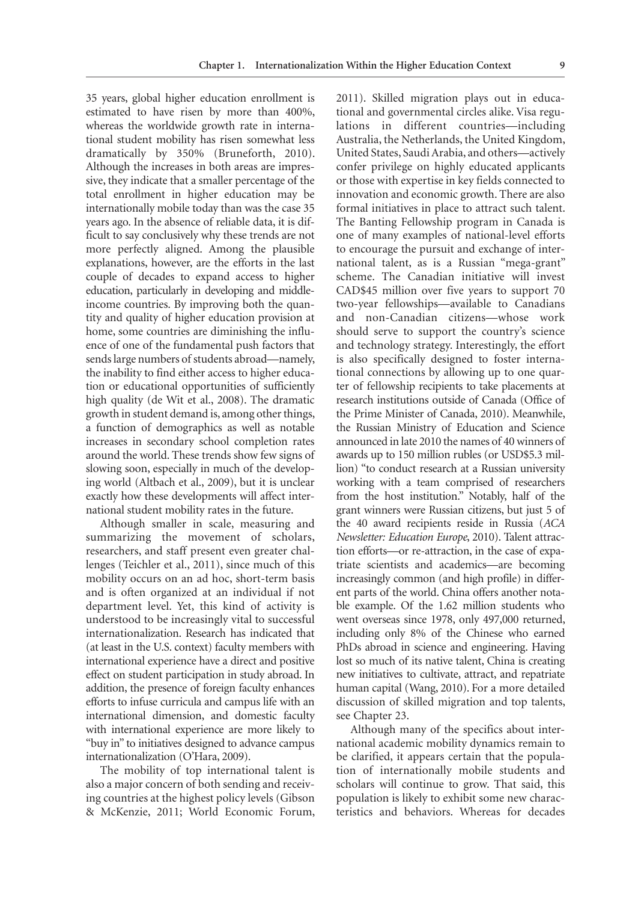35 years, global higher education enrollment is estimated to have risen by more than 400%, whereas the worldwide growth rate in international student mobility has risen somewhat less dramatically by 350% (Bruneforth, 2010). Although the increases in both areas are impressive, they indicate that a smaller percentage of the total enrollment in higher education may be internationally mobile today than was the case 35 years ago. In the absence of reliable data, it is difficult to say conclusively why these trends are not more perfectly aligned. Among the plausible explanations, however, are the efforts in the last couple of decades to expand access to higher education, particularly in developing and middleincome countries. By improving both the quantity and quality of higher education provision at home, some countries are diminishing the influence of one of the fundamental push factors that sends large numbers of students abroad—namely, the inability to find either access to higher education or educational opportunities of sufficiently high quality (de Wit et al., 2008). The dramatic growth in student demand is, among other things, a function of demographics as well as notable increases in secondary school completion rates around the world. These trends show few signs of slowing soon, especially in much of the developing world (Altbach et al., 2009), but it is unclear exactly how these developments will affect international student mobility rates in the future.

Although smaller in scale, measuring and summarizing the movement of scholars, researchers, and staff present even greater challenges (Teichler et al., 2011), since much of this mobility occurs on an ad hoc, short-term basis and is often organized at an individual if not department level. Yet, this kind of activity is understood to be increasingly vital to successful internationalization. Research has indicated that (at least in the U.S. context) faculty members with international experience have a direct and positive effect on student participation in study abroad. In addition, the presence of foreign faculty enhances efforts to infuse curricula and campus life with an international dimension, and domestic faculty with international experience are more likely to "buy in" to initiatives designed to advance campus internationalization (O'Hara, 2009).

The mobility of top international talent is also a major concern of both sending and receiving countries at the highest policy levels (Gibson & McKenzie, 2011; World Economic Forum,

2011). Skilled migration plays out in educational and governmental circles alike. Visa regulations in different countries—including Australia, the Netherlands, the United Kingdom, United States, Saudi Arabia, and others—actively confer privilege on highly educated applicants or those with expertise in key fields connected to innovation and economic growth. There are also formal initiatives in place to attract such talent. The Banting Fellowship program in Canada is one of many examples of national-level efforts to encourage the pursuit and exchange of international talent, as is a Russian "mega-grant" scheme. The Canadian initiative will invest CAD\$45 million over five years to support 70 two-year fellowships—available to Canadians and non-Canadian citizens—whose work should serve to support the country's science and technology strategy. Interestingly, the effort is also specifically designed to foster international connections by allowing up to one quarter of fellowship recipients to take placements at research institutions outside of Canada (Office of the Prime Minister of Canada, 2010). Meanwhile, the Russian Ministry of Education and Science announced in late 2010 the names of 40 winners of awards up to 150 million rubles (or USD\$5.3 million) "to conduct research at a Russian university working with a team comprised of researchers from the host institution." Notably, half of the grant winners were Russian citizens, but just 5 of the 40 award recipients reside in Russia (*ACA Newsletter: Education Europe*, 2010). Talent attraction efforts—or re-attraction, in the case of expatriate scientists and academics—are becoming increasingly common (and high profile) in different parts of the world. China offers another notable example. Of the 1.62 million students who went overseas since 1978, only 497,000 returned, including only 8% of the Chinese who earned PhDs abroad in science and engineering. Having lost so much of its native talent, China is creating new initiatives to cultivate, attract, and repatriate human capital (Wang, 2010). For a more detailed discussion of skilled migration and top talents, see Chapter 23.

Although many of the specifics about international academic mobility dynamics remain to be clarified, it appears certain that the population of internationally mobile students and scholars will continue to grow. That said, this population is likely to exhibit some new characteristics and behaviors. Whereas for decades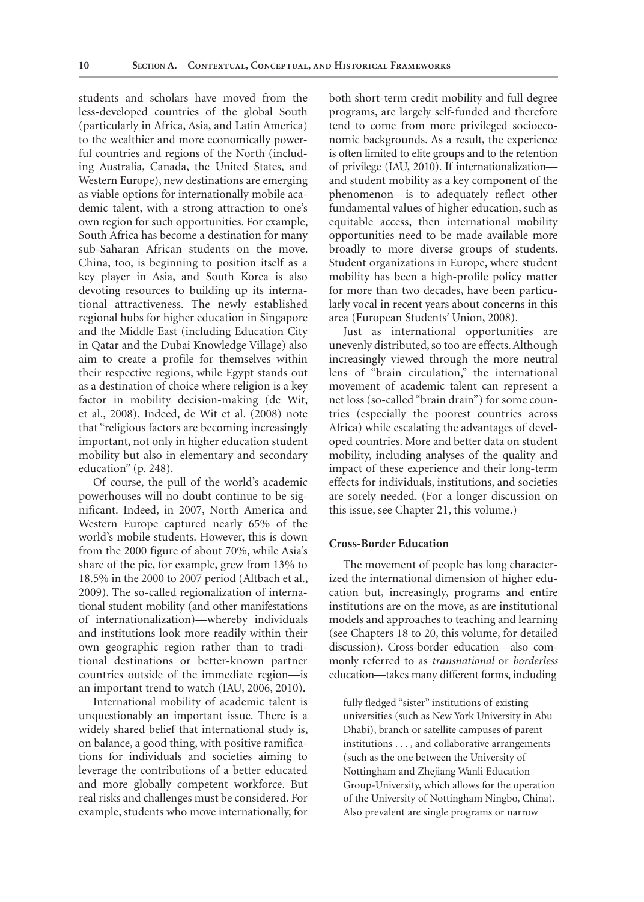students and scholars have moved from the less-developed countries of the global South (particularly in Africa, Asia, and Latin America) to the wealthier and more economically powerful countries and regions of the North (including Australia, Canada, the United States, and Western Europe), new destinations are emerging as viable options for internationally mobile academic talent, with a strong attraction to one's own region for such opportunities. For example, South Africa has become a destination for many sub-Saharan African students on the move. China, too, is beginning to position itself as a key player in Asia, and South Korea is also devoting resources to building up its international attractiveness. The newly established regional hubs for higher education in Singapore and the Middle East (including Education City in Qatar and the Dubai Knowledge Village) also aim to create a profile for themselves within their respective regions, while Egypt stands out as a destination of choice where religion is a key factor in mobility decision-making (de Wit, et al., 2008). Indeed, de Wit et al. (2008) note that "religious factors are becoming increasingly important, not only in higher education student mobility but also in elementary and secondary education" (p. 248).

Of course, the pull of the world's academic powerhouses will no doubt continue to be significant. Indeed, in 2007, North America and Western Europe captured nearly 65% of the world's mobile students. However, this is down from the 2000 figure of about 70%, while Asia's share of the pie, for example, grew from 13% to 18.5% in the 2000 to 2007 period (Altbach et al., 2009). The so-called regionalization of international student mobility (and other manifestations of internationalization)—whereby individuals and institutions look more readily within their own geographic region rather than to traditional destinations or better-known partner countries outside of the immediate region—is an important trend to watch (IAU, 2006, 2010).

International mobility of academic talent is unquestionably an important issue. There is a widely shared belief that international study is, on balance, a good thing, with positive ramifications for individuals and societies aiming to leverage the contributions of a better educated and more globally competent workforce. But real risks and challenges must be considered. For example, students who move internationally, for both short-term credit mobility and full degree programs, are largely self-funded and therefore tend to come from more privileged socioeconomic backgrounds. As a result, the experience is often limited to elite groups and to the retention of privilege (IAU, 2010). If internationalization and student mobility as a key component of the phenomenon—is to adequately reflect other fundamental values of higher education, such as equitable access, then international mobility opportunities need to be made available more broadly to more diverse groups of students. Student organizations in Europe, where student mobility has been a high-profile policy matter for more than two decades, have been particularly vocal in recent years about concerns in this area (European Students' Union, 2008).

Just as international opportunities are unevenly distributed, so too are effects. Although increasingly viewed through the more neutral lens of "brain circulation," the international movement of academic talent can represent a net loss (so-called "brain drain") for some countries (especially the poorest countries across Africa) while escalating the advantages of developed countries. More and better data on student mobility, including analyses of the quality and impact of these experience and their long-term effects for individuals, institutions, and societies are sorely needed. (For a longer discussion on this issue, see Chapter 21, this volume.)

#### **Cross-Border Education**

The movement of people has long characterized the international dimension of higher education but, increasingly, programs and entire institutions are on the move, as are institutional models and approaches to teaching and learning (see Chapters 18 to 20, this volume, for detailed discussion). Cross-border education—also commonly referred to as *transnational* or *borderless* education—takes many different forms, including

fully fledged "sister" institutions of existing universities (such as New York University in Abu Dhabi), branch or satellite campuses of parent institutions . . . , and collaborative arrangements (such as the one between the University of Nottingham and Zhejiang Wanli Education Group-University, which allows for the operation of the University of Nottingham Ningbo, China). Also prevalent are single programs or narrow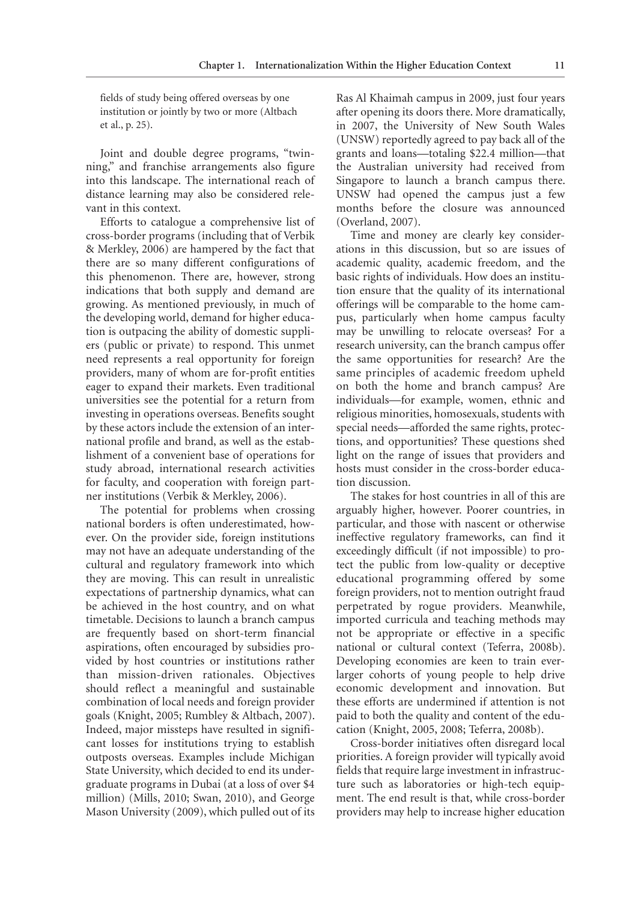fields of study being offered overseas by one institution or jointly by two or more (Altbach et al., p. 25).

Joint and double degree programs, "twinning," and franchise arrangements also figure into this landscape. The international reach of distance learning may also be considered relevant in this context.

Efforts to catalogue a comprehensive list of cross-border programs (including that of Verbik & Merkley, 2006) are hampered by the fact that there are so many different configurations of this phenomenon. There are, however, strong indications that both supply and demand are growing. As mentioned previously, in much of the developing world, demand for higher education is outpacing the ability of domestic suppliers (public or private) to respond. This unmet need represents a real opportunity for foreign providers, many of whom are for-profit entities eager to expand their markets. Even traditional universities see the potential for a return from investing in operations overseas. Benefits sought by these actors include the extension of an international profile and brand, as well as the establishment of a convenient base of operations for study abroad, international research activities for faculty, and cooperation with foreign partner institutions (Verbik & Merkley, 2006).

The potential for problems when crossing national borders is often underestimated, however. On the provider side, foreign institutions may not have an adequate understanding of the cultural and regulatory framework into which they are moving. This can result in unrealistic expectations of partnership dynamics, what can be achieved in the host country, and on what timetable. Decisions to launch a branch campus are frequently based on short-term financial aspirations, often encouraged by subsidies provided by host countries or institutions rather than mission-driven rationales. Objectives should reflect a meaningful and sustainable combination of local needs and foreign provider goals (Knight, 2005; Rumbley & Altbach, 2007). Indeed, major missteps have resulted in significant losses for institutions trying to establish outposts overseas. Examples include Michigan State University, which decided to end its undergraduate programs in Dubai (at a loss of over \$4 million) (Mills, 2010; Swan, 2010), and George Mason University (2009), which pulled out of its

Ras Al Khaimah campus in 2009, just four years after opening its doors there. More dramatically, in 2007, the University of New South Wales (UNSW) reportedly agreed to pay back all of the grants and loans—totaling \$22.4 million—that the Australian university had received from Singapore to launch a branch campus there. UNSW had opened the campus just a few months before the closure was announced (Overland, 2007).

Time and money are clearly key considerations in this discussion, but so are issues of academic quality, academic freedom, and the basic rights of individuals. How does an institution ensure that the quality of its international offerings will be comparable to the home campus, particularly when home campus faculty may be unwilling to relocate overseas? For a research university, can the branch campus offer the same opportunities for research? Are the same principles of academic freedom upheld on both the home and branch campus? Are individuals—for example, women, ethnic and religious minorities, homosexuals, students with special needs—afforded the same rights, protections, and opportunities? These questions shed light on the range of issues that providers and hosts must consider in the cross-border education discussion.

The stakes for host countries in all of this are arguably higher, however. Poorer countries, in particular, and those with nascent or otherwise ineffective regulatory frameworks, can find it exceedingly difficult (if not impossible) to protect the public from low-quality or deceptive educational programming offered by some foreign providers, not to mention outright fraud perpetrated by rogue providers. Meanwhile, imported curricula and teaching methods may not be appropriate or effective in a specific national or cultural context (Teferra, 2008b). Developing economies are keen to train everlarger cohorts of young people to help drive economic development and innovation. But these efforts are undermined if attention is not paid to both the quality and content of the education (Knight, 2005, 2008; Teferra, 2008b).

Cross-border initiatives often disregard local priorities. A foreign provider will typically avoid fields that require large investment in infrastructure such as laboratories or high-tech equipment. The end result is that, while cross-border providers may help to increase higher education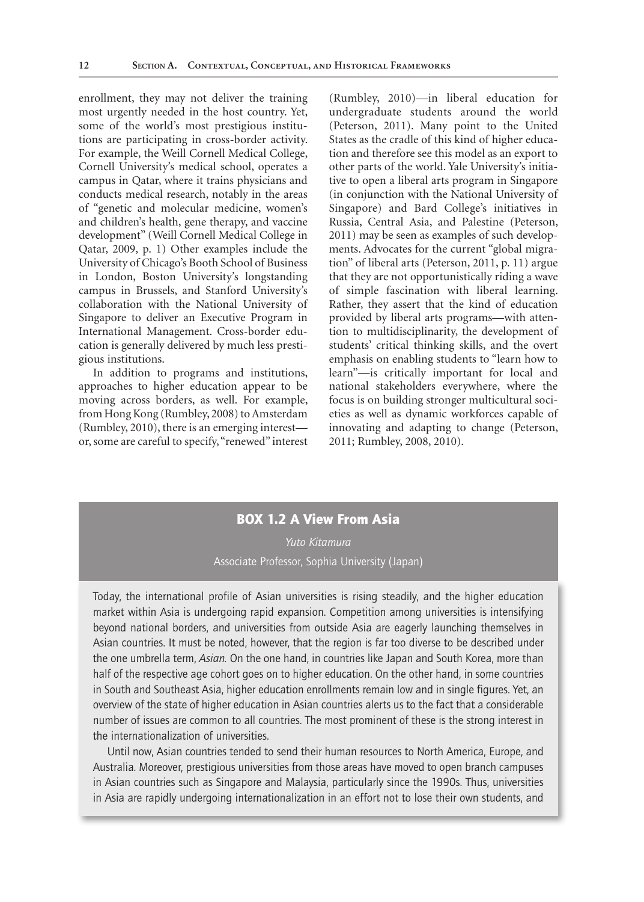enrollment, they may not deliver the training most urgently needed in the host country. Yet, some of the world's most prestigious institutions are participating in cross-border activity. For example, the Weill Cornell Medical College, Cornell University's medical school, operates a campus in Qatar, where it trains physicians and conducts medical research, notably in the areas of "genetic and molecular medicine, women's and children's health, gene therapy, and vaccine development" (Weill Cornell Medical College in Qatar, 2009, p. 1) Other examples include the University of Chicago's Booth School of Business in London, Boston University's longstanding campus in Brussels, and Stanford University's collaboration with the National University of Singapore to deliver an Executive Program in International Management. Cross-border education is generally delivered by much less prestigious institutions.

In addition to programs and institutions, approaches to higher education appear to be moving across borders, as well. For example, from Hong Kong (Rumbley, 2008) to Amsterdam (Rumbley, 2010), there is an emerging interest or, some are careful to specify, "renewed" interest (Rumbley, 2010)—in liberal education for undergraduate students around the world (Peterson, 2011). Many point to the United States as the cradle of this kind of higher education and therefore see this model as an export to other parts of the world. Yale University's initiative to open a liberal arts program in Singapore (in conjunction with the National University of Singapore) and Bard College's initiatives in Russia, Central Asia, and Palestine (Peterson, 2011) may be seen as examples of such developments. Advocates for the current "global migration" of liberal arts (Peterson, 2011, p. 11) argue that they are not opportunistically riding a wave of simple fascination with liberal learning. Rather, they assert that the kind of education provided by liberal arts programs—with attention to multidisciplinarity, the development of students' critical thinking skills, and the overt emphasis on enabling students to "learn how to learn"—is critically important for local and national stakeholders everywhere, where the focus is on building stronger multicultural societies as well as dynamic workforces capable of innovating and adapting to change (Peterson, 2011; Rumbley, 2008, 2010).

# BOX 1.2 A View From Asia

*Yuto Kitamura* Associate Professor, Sophia University (Japan)

Today, the international profile of Asian universities is rising steadily, and the higher education market within Asia is undergoing rapid expansion. Competition among universities is intensifying beyond national borders, and universities from outside Asia are eagerly launching themselves in Asian countries. It must be noted, however, that the region is far too diverse to be described under the one umbrella term, *Asian.* On the one hand, in countries like Japan and South Korea, more than half of the respective age cohort goes on to higher education. On the other hand, in some countries in South and Southeast Asia, higher education enrollments remain low and in single figures. Yet, an overview of the state of higher education in Asian countries alerts us to the fact that a considerable number of issues are common to all countries. The most prominent of these is the strong interest in the internationalization of universities.

Until now, Asian countries tended to send their human resources to North America, Europe, and Australia. Moreover, prestigious universities from those areas have moved to open branch campuses in Asian countries such as Singapore and Malaysia, particularly since the 1990s. Thus, universities in Asia are rapidly undergoing internationalization in an effort not to lose their own students, and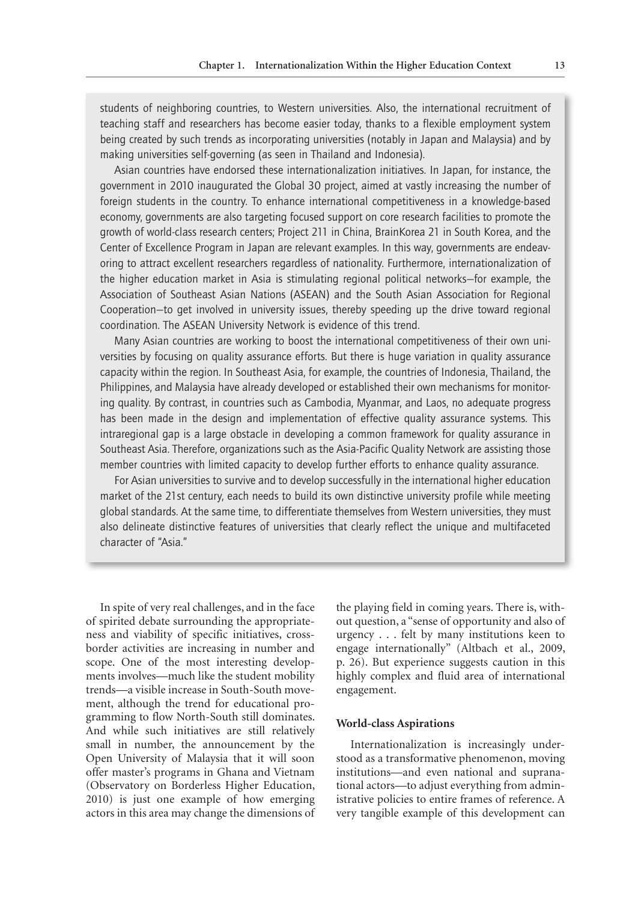students of neighboring countries, to Western universities. Also, the international recruitment of teaching staff and researchers has become easier today, thanks to a flexible employment system being created by such trends as incorporating universities (notably in Japan and Malaysia) and by making universities self-governing (as seen in Thailand and Indonesia).

Asian countries have endorsed these internationalization initiatives. In Japan, for instance, the government in 2010 inaugurated the Global 30 project, aimed at vastly increasing the number of foreign students in the country. To enhance international competitiveness in a knowledge-based economy, governments are also targeting focused support on core research facilities to promote the growth of world-class research centers; Project 211 in China, BrainKorea 21 in South Korea, and the Center of Excellence Program in Japan are relevant examples. In this way, governments are endeavoring to attract excellent researchers regardless of nationality. Furthermore, internationalization of the higher education market in Asia is stimulating regional political networks—for example, the Association of Southeast Asian Nations (ASEAN) and the South Asian Association for Regional Cooperation—to get involved in university issues, thereby speeding up the drive toward regional coordination. The ASEAN University Network is evidence of this trend.

Many Asian countries are working to boost the international competitiveness of their own universities by focusing on quality assurance efforts. But there is huge variation in quality assurance capacity within the region. In Southeast Asia, for example, the countries of Indonesia, Thailand, the Philippines, and Malaysia have already developed or established their own mechanisms for monitoring quality. By contrast, in countries such as Cambodia, Myanmar, and Laos, no adequate progress has been made in the design and implementation of effective quality assurance systems. This intraregional gap is a large obstacle in developing a common framework for quality assurance in Southeast Asia. Therefore, organizations such as the Asia-Pacific Quality Network are assisting those member countries with limited capacity to develop further efforts to enhance quality assurance.

For Asian universities to survive and to develop successfully in the international higher education market of the 21st century, each needs to build its own distinctive university profile while meeting global standards. At the same time, to differentiate themselves from Western universities, they must also delineate distinctive features of universities that clearly reflect the unique and multifaceted character of "Asia."

In spite of very real challenges, and in the face of spirited debate surrounding the appropriateness and viability of specific initiatives, crossborder activities are increasing in number and scope. One of the most interesting developments involves—much like the student mobility trends—a visible increase in South-South movement, although the trend for educational programming to flow North-South still dominates. And while such initiatives are still relatively small in number, the announcement by the Open University of Malaysia that it will soon offer master's programs in Ghana and Vietnam (Observatory on Borderless Higher Education, 2010) is just one example of how emerging actors in this area may change the dimensions of the playing field in coming years. There is, without question, a "sense of opportunity and also of urgency . . . felt by many institutions keen to engage internationally" (Altbach et al., 2009, p. 26). But experience suggests caution in this highly complex and fluid area of international engagement.

#### **World-class Aspirations**

Internationalization is increasingly understood as a transformative phenomenon, moving institutions—and even national and supranational actors—to adjust everything from administrative policies to entire frames of reference. A very tangible example of this development can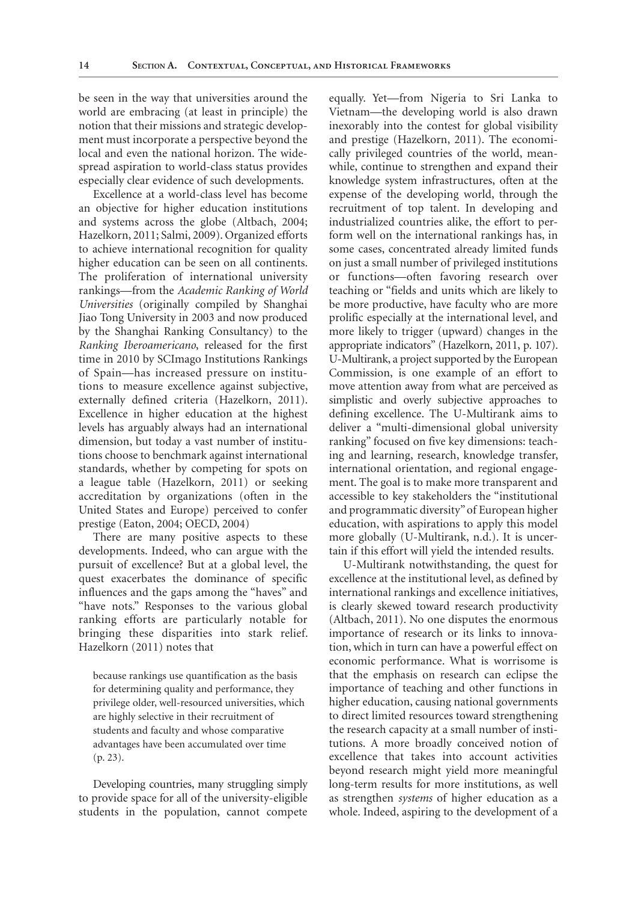be seen in the way that universities around the world are embracing (at least in principle) the notion that their missions and strategic development must incorporate a perspective beyond the local and even the national horizon. The widespread aspiration to world-class status provides especially clear evidence of such developments.

Excellence at a world-class level has become an objective for higher education institutions and systems across the globe (Altbach, 2004; Hazelkorn, 2011; Salmi, 2009). Organized efforts to achieve international recognition for quality higher education can be seen on all continents. The proliferation of international university rankings—from the *Academic Ranking of World Universities* (originally compiled by Shanghai Jiao Tong University in 2003 and now produced by the Shanghai Ranking Consultancy) to the *Ranking Iberoamericano*, released for the first time in 2010 by SCImago Institutions Rankings of Spain—has increased pressure on institutions to measure excellence against subjective, externally defined criteria (Hazelkorn, 2011). Excellence in higher education at the highest levels has arguably always had an international dimension, but today a vast number of institutions choose to benchmark against international standards, whether by competing for spots on a league table (Hazelkorn, 2011) or seeking accreditation by organizations (often in the United States and Europe) perceived to confer prestige (Eaton, 2004; OECD, 2004)

There are many positive aspects to these developments. Indeed, who can argue with the pursuit of excellence? But at a global level, the quest exacerbates the dominance of specific influences and the gaps among the "haves" and "have nots." Responses to the various global ranking efforts are particularly notable for bringing these disparities into stark relief. Hazelkorn (2011) notes that

because rankings use quantification as the basis for determining quality and performance, they privilege older, well-resourced universities, which are highly selective in their recruitment of students and faculty and whose comparative advantages have been accumulated over time (p. 23).

Developing countries, many struggling simply to provide space for all of the university-eligible students in the population, cannot compete equally. Yet—from Nigeria to Sri Lanka to Vietnam—the developing world is also drawn inexorably into the contest for global visibility and prestige (Hazelkorn, 2011). The economically privileged countries of the world, meanwhile, continue to strengthen and expand their knowledge system infrastructures, often at the expense of the developing world, through the recruitment of top talent. In developing and industrialized countries alike, the effort to perform well on the international rankings has, in some cases, concentrated already limited funds on just a small number of privileged institutions or functions—often favoring research over teaching or "fields and units which are likely to be more productive, have faculty who are more prolific especially at the international level, and more likely to trigger (upward) changes in the appropriate indicators" (Hazelkorn, 2011, p. 107). U-Multirank, a project supported by the European Commission, is one example of an effort to move attention away from what are perceived as simplistic and overly subjective approaches to defining excellence. The U-Multirank aims to deliver a "multi-dimensional global university ranking" focused on five key dimensions: teaching and learning, research, knowledge transfer, international orientation, and regional engagement. The goal is to make more transparent and accessible to key stakeholders the "institutional and programmatic diversity" of European higher education, with aspirations to apply this model more globally (U-Multirank, n.d.). It is uncertain if this effort will yield the intended results.

U-Multirank notwithstanding, the quest for excellence at the institutional level, as defined by international rankings and excellence initiatives, is clearly skewed toward research productivity (Altbach, 2011). No one disputes the enormous importance of research or its links to innovation, which in turn can have a powerful effect on economic performance. What is worrisome is that the emphasis on research can eclipse the importance of teaching and other functions in higher education, causing national governments to direct limited resources toward strengthening the research capacity at a small number of institutions. A more broadly conceived notion of excellence that takes into account activities beyond research might yield more meaningful long-term results for more institutions, as well as strengthen *systems* of higher education as a whole. Indeed, aspiring to the development of a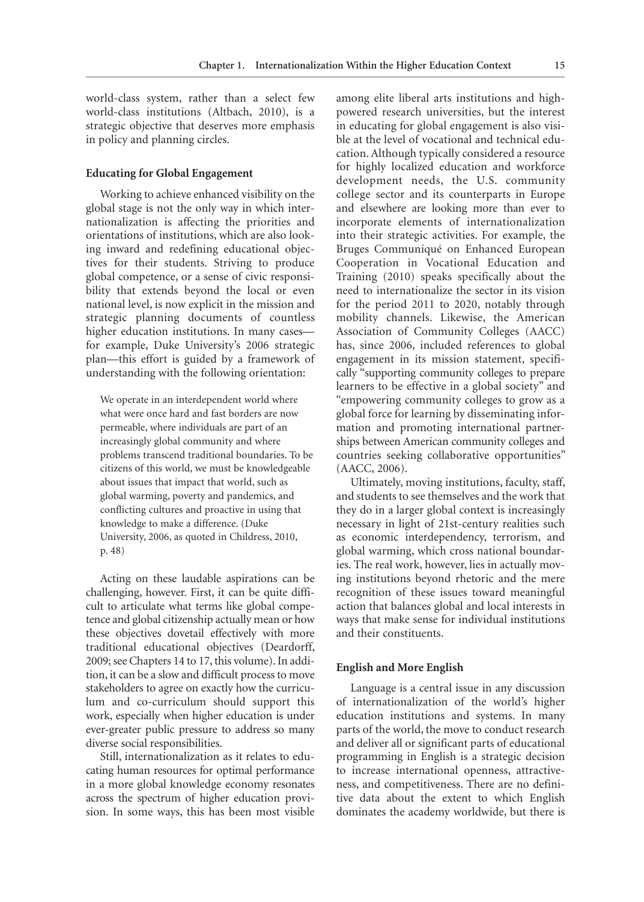world-class system, rather than a select few world-class institutions (Altbach, 2010), is a strategic objective that deserves more emphasis in policy and planning circles.

#### **Educating for Global Engagement**

Working to achieve enhanced visibility on the global stage is not the only way in which internationalization is affecting the priorities and orientations of institutions, which are also looking inward and redefining educational objectives for their students. Striving to produce global competence, or a sense of civic responsibility that extends beyond the local or even national level, is now explicit in the mission and strategic planning documents of countless higher education institutions. In many cases for example, Duke University's 2006 strategic plan—this effort is guided by a framework of understanding with the following orientation:

We operate in an interdependent world where what were once hard and fast borders are now permeable, where individuals are part of an increasingly global community and where problems transcend traditional boundaries. To be citizens of this world, we must be knowledgeable about issues that impact that world, such as global warming, poverty and pandemics, and conflicting cultures and proactive in using that knowledge to make a difference. (Duke University, 2006, as quoted in Childress, 2010, p. 48)

Acting on these laudable aspirations can be challenging, however. First, it can be quite difficult to articulate what terms like global competence and global citizenship actually mean or how these objectives dovetail effectively with more traditional educational objectives (Deardorff, 2009; see Chapters 14 to 17, this volume). In addition, it can be a slow and difficult process to move stakeholders to agree on exactly how the curriculum and co-curriculum should support this work, especially when higher education is under ever-greater public pressure to address so many diverse social responsibilities.

Still, internationalization as it relates to educating human resources for optimal performance in a more global knowledge economy resonates across the spectrum of higher education provision. In some ways, this has been most visible among elite liberal arts institutions and highpowered research universities, but the interest in educating for global engagement is also visible at the level of vocational and technical education. Although typically considered a resource for highly localized education and workforce development needs, the U.S. community college sector and its counterparts in Europe and elsewhere are looking more than ever to incorporate elements of internationalization into their strategic activities. For example, the Bruges Communiqué on Enhanced European Cooperation in Vocational Education and Training (2010) speaks specifically about the need to internationalize the sector in its vision for the period 2011 to 2020, notably through mobility channels. Likewise, the American Association of Community Colleges (AACC) has, since 2006, included references to global engagement in its mission statement, specifically "supporting community colleges to prepare learners to be effective in a global society" and "empowering community colleges to grow as a global force for learning by disseminating information and promoting international partnerships between American community colleges and countries seeking collaborative opportunities" (AACC, 2006).

Ultimately, moving institutions, faculty, staff, and students to see themselves and the work that they do in a larger global context is increasingly necessary in light of 21st-century realities such as economic interdependency, terrorism, and global warming, which cross national boundaries. The real work, however, lies in actually moving institutions beyond rhetoric and the mere recognition of these issues toward meaningful action that balances global and local interests in ways that make sense for individual institutions and their constituents.

#### **English and More English**

Language is a central issue in any discussion of internationalization of the world's higher education institutions and systems. In many parts of the world, the move to conduct research and deliver all or significant parts of educational programming in English is a strategic decision to increase international openness, attractiveness, and competitiveness. There are no definitive data about the extent to which English dominates the academy worldwide, but there is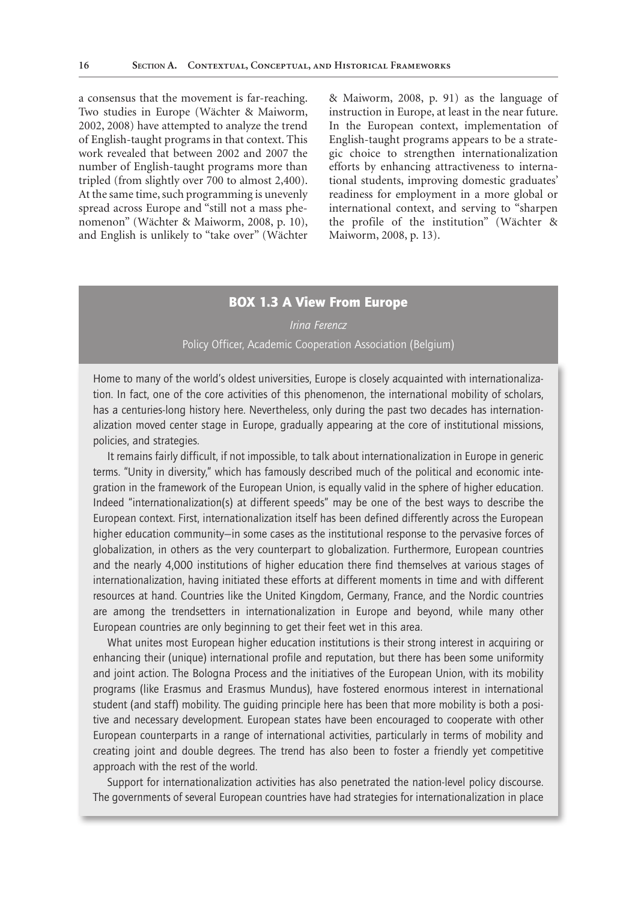a consensus that the movement is far-reaching. Two studies in Europe (Wächter & Maiworm, 2002, 2008) have attempted to analyze the trend of English-taught programs in that context. This work revealed that between 2002 and 2007 the number of English-taught programs more than tripled (from slightly over 700 to almost 2,400). At the same time, such programming is unevenly spread across Europe and "still not a mass phenomenon" (Wächter & Maiworm, 2008, p. 10), and English is unlikely to "take over" (Wächter

& Maiworm, 2008, p. 91) as the language of instruction in Europe, at least in the near future. In the European context, implementation of English-taught programs appears to be a strategic choice to strengthen internationalization efforts by enhancing attractiveness to international students, improving domestic graduates' readiness for employment in a more global or international context, and serving to "sharpen the profile of the institution" (Wächter & Maiworm, 2008, p. 13).

# BOX 1.3 A View From Europe

#### *Irina Ferencz*

#### Policy Officer, Academic Cooperation Association (Belgium)

Home to many of the world's oldest universities, Europe is closely acquainted with internationalization. In fact, one of the core activities of this phenomenon, the international mobility of scholars, has a centuries-long history here. Nevertheless, only during the past two decades has internationalization moved center stage in Europe, gradually appearing at the core of institutional missions, policies, and strategies.

It remains fairly difficult, if not impossible, to talk about internationalization in Europe in generic terms. "Unity in diversity," which has famously described much of the political and economic integration in the framework of the European Union, is equally valid in the sphere of higher education. Indeed "internationalization(s) at different speeds" may be one of the best ways to describe the European context. First, internationalization itself has been defined differently across the European higher education community—in some cases as the institutional response to the pervasive forces of globalization, in others as the very counterpart to globalization. Furthermore, European countries and the nearly 4,000 institutions of higher education there find themselves at various stages of internationalization, having initiated these efforts at different moments in time and with different resources at hand. Countries like the United Kingdom, Germany, France, and the Nordic countries are among the trendsetters in internationalization in Europe and beyond, while many other European countries are only beginning to get their feet wet in this area.

What unites most European higher education institutions is their strong interest in acquiring or enhancing their (unique) international profile and reputation, but there has been some uniformity and joint action. The Bologna Process and the initiatives of the European Union, with its mobility programs (like Erasmus and Erasmus Mundus), have fostered enormous interest in international student (and staff) mobility. The guiding principle here has been that more mobility is both a positive and necessary development. European states have been encouraged to cooperate with other European counterparts in a range of international activities, particularly in terms of mobility and creating joint and double degrees. The trend has also been to foster a friendly yet competitive approach with the rest of the world.

Support for internationalization activities has also penetrated the nation-level policy discourse. The governments of several European countries have had strategies for internationalization in place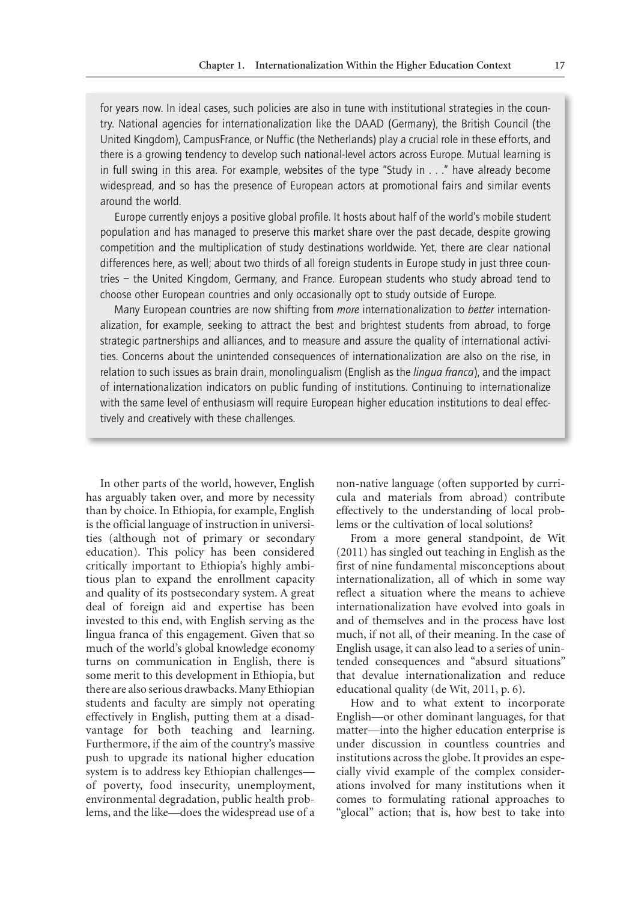for years now. In ideal cases, such policies are also in tune with institutional strategies in the country. National agencies for internationalization like the DAAD (Germany), the British Council (the United Kingdom), CampusFrance, or Nuffic (the Netherlands) play a crucial role in these efforts, and there is a growing tendency to develop such national-level actors across Europe. Mutual learning is in full swing in this area. For example, websites of the type "Study in . . ." have already become widespread, and so has the presence of European actors at promotional fairs and similar events around the world.

Europe currently enjoys a positive global profile. It hosts about half of the world's mobile student population and has managed to preserve this market share over the past decade, despite growing competition and the multiplication of study destinations worldwide. Yet, there are clear national differences here, as well; about two thirds of all foreign students in Europe study in just three countries – the United Kingdom, Germany, and France. European students who study abroad tend to choose other European countries and only occasionally opt to study outside of Europe.

Many European countries are now shifting from *more* internationalization to *better* internationalization, for example, seeking to attract the best and brightest students from abroad, to forge strategic partnerships and alliances, and to measure and assure the quality of international activities. Concerns about the unintended consequences of internationalization are also on the rise, in relation to such issues as brain drain, monolingualism (English as the *lingua franca*), and the impact of internationalization indicators on public funding of institutions. Continuing to internationalize with the same level of enthusiasm will require European higher education institutions to deal effectively and creatively with these challenges.

In other parts of the world, however, English has arguably taken over, and more by necessity than by choice. In Ethiopia, for example, English is the official language of instruction in universities (although not of primary or secondary education). This policy has been considered critically important to Ethiopia's highly ambitious plan to expand the enrollment capacity and quality of its postsecondary system. A great deal of foreign aid and expertise has been invested to this end, with English serving as the lingua franca of this engagement. Given that so much of the world's global knowledge economy turns on communication in English, there is some merit to this development in Ethiopia, but there are also serious drawbacks. Many Ethiopian students and faculty are simply not operating effectively in English, putting them at a disadvantage for both teaching and learning. Furthermore, if the aim of the country's massive push to upgrade its national higher education system is to address key Ethiopian challenges of poverty, food insecurity, unemployment, environmental degradation, public health problems, and the like—does the widespread use of a

non-native language (often supported by curricula and materials from abroad) contribute effectively to the understanding of local problems or the cultivation of local solutions?

From a more general standpoint, de Wit (2011) has singled out teaching in English as the first of nine fundamental misconceptions about internationalization, all of which in some way reflect a situation where the means to achieve internationalization have evolved into goals in and of themselves and in the process have lost much, if not all, of their meaning. In the case of English usage, it can also lead to a series of unintended consequences and "absurd situations" that devalue internationalization and reduce educational quality (de Wit, 2011, p. 6).

How and to what extent to incorporate English—or other dominant languages, for that matter—into the higher education enterprise is under discussion in countless countries and institutions across the globe. It provides an especially vivid example of the complex considerations involved for many institutions when it comes to formulating rational approaches to "glocal" action; that is, how best to take into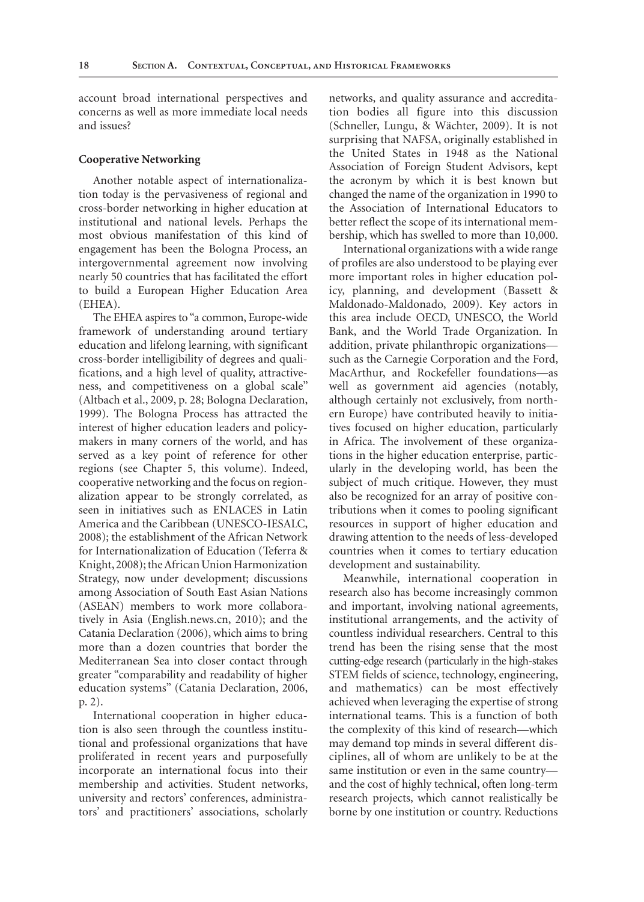account broad international perspectives and concerns as well as more immediate local needs and issues?

#### **Cooperative Networking**

Another notable aspect of internationalization today is the pervasiveness of regional and cross-border networking in higher education at institutional and national levels. Perhaps the most obvious manifestation of this kind of engagement has been the Bologna Process, an intergovernmental agreement now involving nearly 50 countries that has facilitated the effort to build a European Higher Education Area (EHEA).

The EHEA aspires to "a common, Europe-wide framework of understanding around tertiary education and lifelong learning, with significant cross-border intelligibility of degrees and qualifications, and a high level of quality, attractiveness, and competitiveness on a global scale" (Altbach et al., 2009, p. 28; Bologna Declaration, 1999). The Bologna Process has attracted the interest of higher education leaders and policymakers in many corners of the world, and has served as a key point of reference for other regions (see Chapter 5, this volume). Indeed, cooperative networking and the focus on regionalization appear to be strongly correlated, as seen in initiatives such as ENLACES in Latin America and the Caribbean (UNESCO-IESALC, 2008); the establishment of the African Network for Internationalization of Education (Teferra & Knight, 2008); the African Union Harmonization Strategy, now under development; discussions among Association of South East Asian Nations (ASEAN) members to work more collaboratively in Asia (English.news.cn, 2010); and the Catania Declaration (2006), which aims to bring more than a dozen countries that border the Mediterranean Sea into closer contact through greater "comparability and readability of higher education systems" (Catania Declaration, 2006, p. 2).

International cooperation in higher education is also seen through the countless institutional and professional organizations that have proliferated in recent years and purposefully incorporate an international focus into their membership and activities. Student networks, university and rectors' conferences, administrators' and practitioners' associations, scholarly networks, and quality assurance and accreditation bodies all figure into this discussion (Schneller, Lungu, & Wächter, 2009). It is not surprising that NAFSA, originally established in the United States in 1948 as the National Association of Foreign Student Advisors, kept the acronym by which it is best known but changed the name of the organization in 1990 to the Association of International Educators to better reflect the scope of its international membership, which has swelled to more than 10,000.

International organizations with a wide range of profiles are also understood to be playing ever more important roles in higher education policy, planning, and development (Bassett & Maldonado-Maldonado, 2009). Key actors in this area include OECD, UNESCO, the World Bank, and the World Trade Organization. In addition, private philanthropic organizations such as the Carnegie Corporation and the Ford, MacArthur, and Rockefeller foundations—as well as government aid agencies (notably, although certainly not exclusively, from northern Europe) have contributed heavily to initiatives focused on higher education, particularly in Africa. The involvement of these organizations in the higher education enterprise, particularly in the developing world, has been the subject of much critique. However, they must also be recognized for an array of positive contributions when it comes to pooling significant resources in support of higher education and drawing attention to the needs of less-developed countries when it comes to tertiary education development and sustainability.

Meanwhile, international cooperation in research also has become increasingly common and important, involving national agreements, institutional arrangements, and the activity of countless individual researchers. Central to this trend has been the rising sense that the most cutting-edge research (particularly in the high-stakes STEM fields of science, technology, engineering, and mathematics) can be most effectively achieved when leveraging the expertise of strong international teams. This is a function of both the complexity of this kind of research—which may demand top minds in several different disciplines, all of whom are unlikely to be at the same institution or even in the same country and the cost of highly technical, often long-term research projects, which cannot realistically be borne by one institution or country. Reductions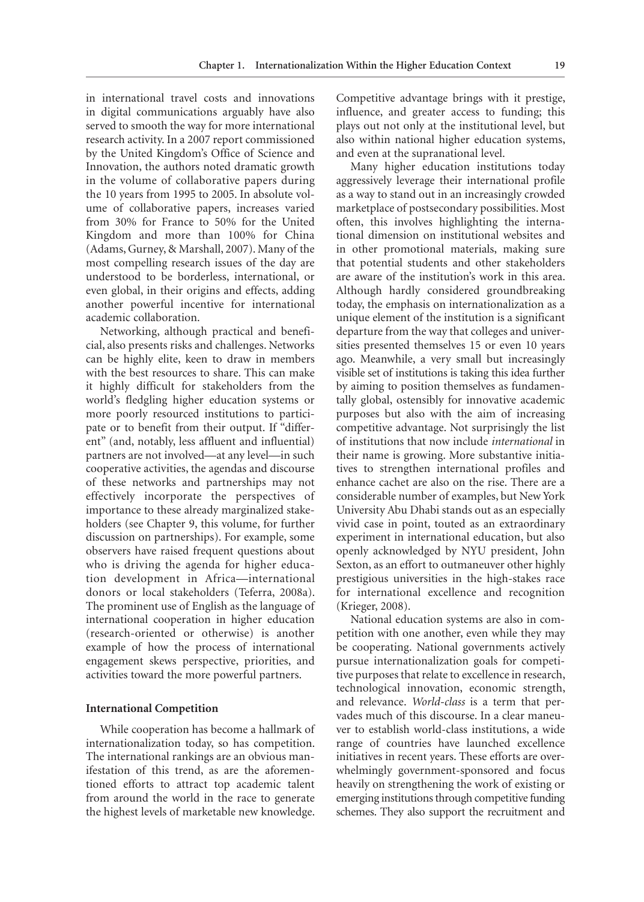in international travel costs and innovations in digital communications arguably have also served to smooth the way for more international research activity. In a 2007 report commissioned by the United Kingdom's Office of Science and Innovation, the authors noted dramatic growth in the volume of collaborative papers during the 10 years from 1995 to 2005. In absolute volume of collaborative papers, increases varied from 30% for France to 50% for the United Kingdom and more than 100% for China (Adams, Gurney, & Marshall, 2007). Many of the most compelling research issues of the day are understood to be borderless, international, or even global, in their origins and effects, adding another powerful incentive for international academic collaboration.

Networking, although practical and beneficial, also presents risks and challenges. Networks can be highly elite, keen to draw in members with the best resources to share. This can make it highly difficult for stakeholders from the world's fledgling higher education systems or more poorly resourced institutions to participate or to benefit from their output. If "different" (and, notably, less affluent and influential) partners are not involved—at any level—in such cooperative activities, the agendas and discourse of these networks and partnerships may not effectively incorporate the perspectives of importance to these already marginalized stakeholders (see Chapter 9, this volume, for further discussion on partnerships). For example, some observers have raised frequent questions about who is driving the agenda for higher education development in Africa—international donors or local stakeholders (Teferra, 2008a). The prominent use of English as the language of international cooperation in higher education (research-oriented or otherwise) is another example of how the process of international engagement skews perspective, priorities, and activities toward the more powerful partners.

#### **International Competition**

While cooperation has become a hallmark of internationalization today, so has competition. The international rankings are an obvious manifestation of this trend, as are the aforementioned efforts to attract top academic talent from around the world in the race to generate the highest levels of marketable new knowledge.

Competitive advantage brings with it prestige, influence, and greater access to funding; this plays out not only at the institutional level, but also within national higher education systems, and even at the supranational level.

Many higher education institutions today aggressively leverage their international profile as a way to stand out in an increasingly crowded marketplace of postsecondary possibilities. Most often, this involves highlighting the international dimension on institutional websites and in other promotional materials, making sure that potential students and other stakeholders are aware of the institution's work in this area. Although hardly considered groundbreaking today, the emphasis on internationalization as a unique element of the institution is a significant departure from the way that colleges and universities presented themselves 15 or even 10 years ago. Meanwhile, a very small but increasingly visible set of institutions is taking this idea further by aiming to position themselves as fundamentally global, ostensibly for innovative academic purposes but also with the aim of increasing competitive advantage. Not surprisingly the list of institutions that now include *international* in their name is growing. More substantive initiatives to strengthen international profiles and enhance cachet are also on the rise. There are a considerable number of examples, but New York University Abu Dhabi stands out as an especially vivid case in point, touted as an extraordinary experiment in international education, but also openly acknowledged by NYU president, John Sexton, as an effort to outmaneuver other highly prestigious universities in the high-stakes race for international excellence and recognition (Krieger, 2008).

National education systems are also in competition with one another, even while they may be cooperating. National governments actively pursue internationalization goals for competitive purposes that relate to excellence in research, technological innovation, economic strength, and relevance. *World-class* is a term that pervades much of this discourse. In a clear maneuver to establish world-class institutions, a wide range of countries have launched excellence initiatives in recent years. These efforts are overwhelmingly government-sponsored and focus heavily on strengthening the work of existing or emerging institutions through competitive funding schemes. They also support the recruitment and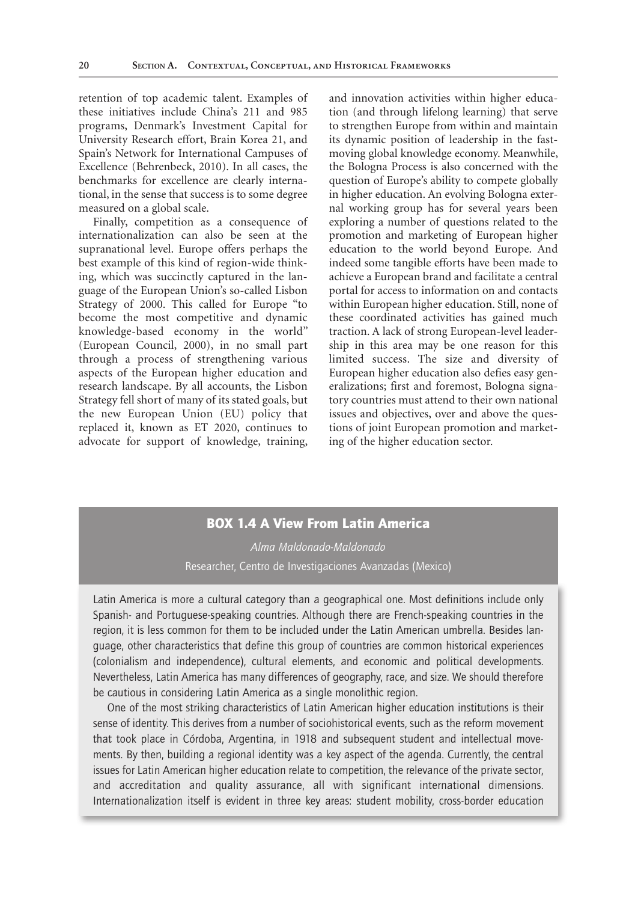retention of top academic talent. Examples of these initiatives include China's 211 and 985 programs, Denmark's Investment Capital for University Research effort, Brain Korea 21, and Spain's Network for International Campuses of Excellence (Behrenbeck, 2010). In all cases, the benchmarks for excellence are clearly international, in the sense that success is to some degree measured on a global scale.

Finally, competition as a consequence of internationalization can also be seen at the supranational level. Europe offers perhaps the best example of this kind of region-wide thinking, which was succinctly captured in the language of the European Union's so-called Lisbon Strategy of 2000. This called for Europe "to become the most competitive and dynamic knowledge-based economy in the world" (European Council, 2000), in no small part through a process of strengthening various aspects of the European higher education and research landscape. By all accounts, the Lisbon Strategy fell short of many of its stated goals, but the new European Union (EU) policy that replaced it, known as ET 2020, continues to advocate for support of knowledge, training,

and innovation activities within higher education (and through lifelong learning) that serve to strengthen Europe from within and maintain its dynamic position of leadership in the fastmoving global knowledge economy. Meanwhile, the Bologna Process is also concerned with the question of Europe's ability to compete globally in higher education. An evolving Bologna external working group has for several years been exploring a number of questions related to the promotion and marketing of European higher education to the world beyond Europe. And indeed some tangible efforts have been made to achieve a European brand and facilitate a central portal for access to information on and contacts within European higher education. Still, none of these coordinated activities has gained much traction. A lack of strong European-level leadership in this area may be one reason for this limited success. The size and diversity of European higher education also defies easy generalizations; first and foremost, Bologna signatory countries must attend to their own national issues and objectives, over and above the questions of joint European promotion and marketing of the higher education sector.

# BOX 1.4 A View From Latin America

*Alma Maldonado-Maldonado* Researcher, Centro de Investigaciones Avanzadas (Mexico)

Latin America is more a cultural category than a geographical one. Most definitions include only Spanish- and Portuguese-speaking countries. Although there are French-speaking countries in the region, it is less common for them to be included under the Latin American umbrella. Besides language, other characteristics that define this group of countries are common historical experiences (colonialism and independence), cultural elements, and economic and political developments. Nevertheless, Latin America has many differences of geography, race, and size. We should therefore be cautious in considering Latin America as a single monolithic region.

One of the most striking characteristics of Latin American higher education institutions is their sense of identity. This derives from a number of sociohistorical events, such as the reform movement that took place in Córdoba, Argentina, in 1918 and subsequent student and intellectual movements. By then, building a regional identity was a key aspect of the agenda. Currently, the central issues for Latin American higher education relate to competition, the relevance of the private sector, and accreditation and quality assurance, all with significant international dimensions. Internationalization itself is evident in three key areas: student mobility, cross-border education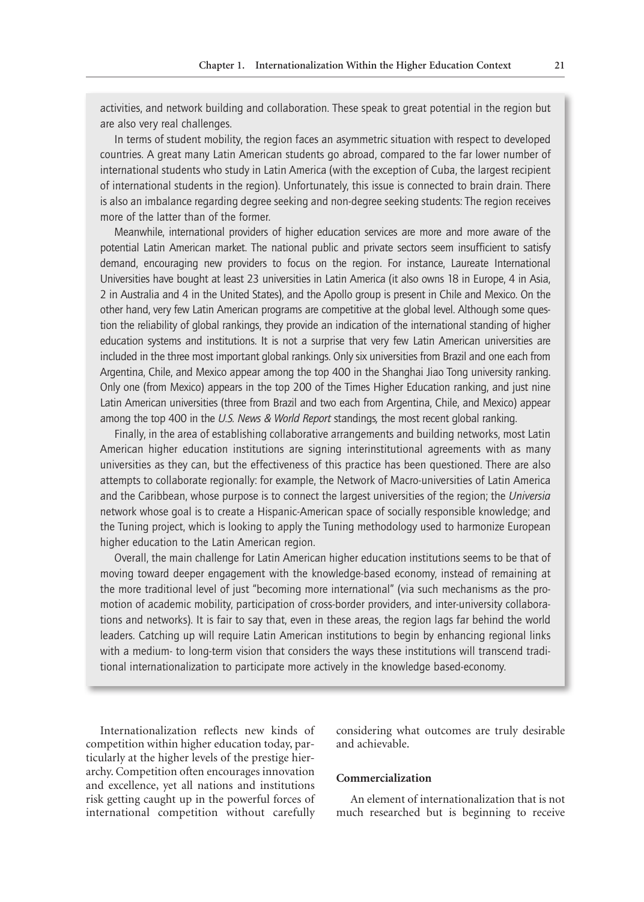activities, and network building and collaboration. These speak to great potential in the region but are also very real challenges.

In terms of student mobility, the region faces an asymmetric situation with respect to developed countries. A great many Latin American students go abroad, compared to the far lower number of international students who study in Latin America (with the exception of Cuba, the largest recipient of international students in the region). Unfortunately, this issue is connected to brain drain. There is also an imbalance regarding degree seeking and non-degree seeking students: The region receives more of the latter than of the former.

Meanwhile, international providers of higher education services are more and more aware of the potential Latin American market. The national public and private sectors seem insufficient to satisfy demand, encouraging new providers to focus on the region. For instance, Laureate International Universities have bought at least 23 universities in Latin America (it also owns 18 in Europe, 4 in Asia, 2 in Australia and 4 in the United States), and the Apollo group is present in Chile and Mexico. On the other hand, very few Latin American programs are competitive at the global level. Although some question the reliability of global rankings, they provide an indication of the international standing of higher education systems and institutions. It is not a surprise that very few Latin American universities are included in the three most important global rankings. Only six universities from Brazil and one each from Argentina, Chile, and Mexico appear among the top 400 in the Shanghai Jiao Tong university ranking. Only one (from Mexico) appears in the top 200 of the Times Higher Education ranking, and just nine Latin American universities (three from Brazil and two each from Argentina, Chile, and Mexico) appear among the top 400 in the *U.S. News & World Report* standings*,* the most recent global ranking.

Finally, in the area of establishing collaborative arrangements and building networks, most Latin American higher education institutions are signing interinstitutional agreements with as many universities as they can, but the effectiveness of this practice has been questioned. There are also attempts to collaborate regionally: for example, the Network of Macro-universities of Latin America and the Caribbean, whose purpose is to connect the largest universities of the region; the *Universia* network whose goal is to create a Hispanic-American space of socially responsible knowledge; and the Tuning project, which is looking to apply the Tuning methodology used to harmonize European higher education to the Latin American region.

Overall, the main challenge for Latin American higher education institutions seems to be that of moving toward deeper engagement with the knowledge-based economy, instead of remaining at the more traditional level of just "becoming more international" (via such mechanisms as the promotion of academic mobility, participation of cross-border providers, and inter-university collaborations and networks). It is fair to say that, even in these areas, the region lags far behind the world leaders. Catching up will require Latin American institutions to begin by enhancing regional links with a medium- to long-term vision that considers the ways these institutions will transcend traditional internationalization to participate more actively in the knowledge based-economy.

Internationalization reflects new kinds of competition within higher education today, particularly at the higher levels of the prestige hierarchy. Competition often encourages innovation and excellence, yet all nations and institutions risk getting caught up in the powerful forces of international competition without carefully

considering what outcomes are truly desirable and achievable.

#### **Commercialization**

An element of internationalization that is not much researched but is beginning to receive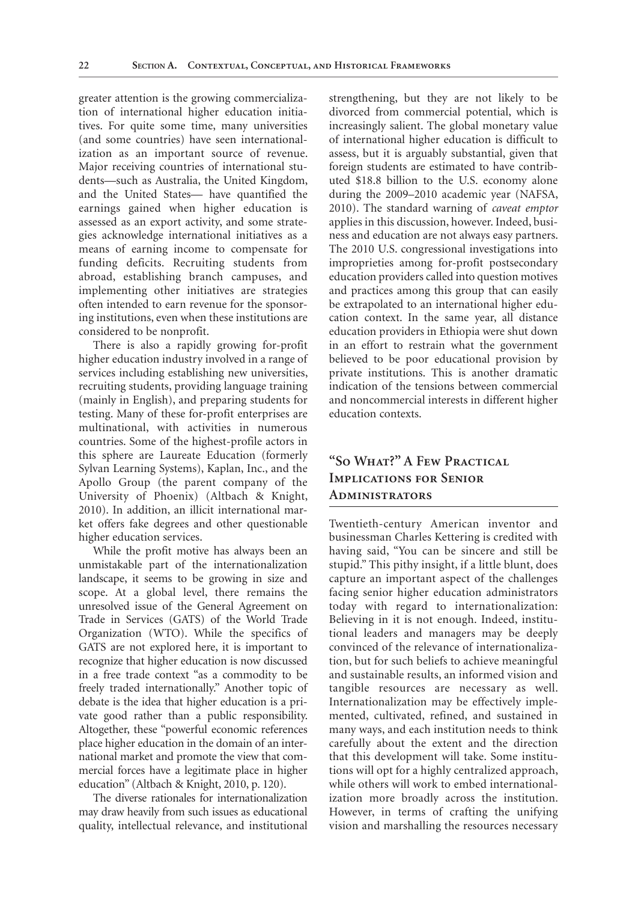greater attention is the growing commercialization of international higher education initiatives. For quite some time, many universities (and some countries) have seen internationalization as an important source of revenue. Major receiving countries of international students—such as Australia, the United Kingdom, and the United States— have quantified the earnings gained when higher education is assessed as an export activity, and some strategies acknowledge international initiatives as a means of earning income to compensate for funding deficits. Recruiting students from abroad, establishing branch campuses, and implementing other initiatives are strategies often intended to earn revenue for the sponsoring institutions, even when these institutions are considered to be nonprofit.

There is also a rapidly growing for-profit higher education industry involved in a range of services including establishing new universities, recruiting students, providing language training (mainly in English), and preparing students for testing. Many of these for-profit enterprises are multinational, with activities in numerous countries. Some of the highest-profile actors in this sphere are Laureate Education (formerly Sylvan Learning Systems), Kaplan, Inc., and the Apollo Group (the parent company of the University of Phoenix) (Altbach & Knight, 2010). In addition, an illicit international market offers fake degrees and other questionable higher education services.

While the profit motive has always been an unmistakable part of the internationalization landscape, it seems to be growing in size and scope. At a global level, there remains the unresolved issue of the General Agreement on Trade in Services (GATS) of the World Trade Organization (WTO). While the specifics of GATS are not explored here, it is important to recognize that higher education is now discussed in a free trade context "as a commodity to be freely traded internationally." Another topic of debate is the idea that higher education is a private good rather than a public responsibility. Altogether, these "powerful economic references place higher education in the domain of an international market and promote the view that commercial forces have a legitimate place in higher education" (Altbach & Knight, 2010, p. 120).

The diverse rationales for internationalization may draw heavily from such issues as educational quality, intellectual relevance, and institutional

strengthening, but they are not likely to be divorced from commercial potential, which is increasingly salient. The global monetary value of international higher education is difficult to assess, but it is arguably substantial, given that foreign students are estimated to have contributed \$18.8 billion to the U.S. economy alone during the 2009–2010 academic year (NAFSA, 2010). The standard warning of *caveat emptor* applies in this discussion, however. Indeed, business and education are not always easy partners. The 2010 U.S. congressional investigations into improprieties among for-profit postsecondary education providers called into question motives and practices among this group that can easily be extrapolated to an international higher education context. In the same year, all distance education providers in Ethiopia were shut down in an effort to restrain what the government believed to be poor educational provision by private institutions. This is another dramatic indication of the tensions between commercial and noncommercial interests in different higher education contexts.

# **"So What?" A Few Practical Implications for Senior Administrators**

Twentieth-century American inventor and businessman Charles Kettering is credited with having said, "You can be sincere and still be stupid." This pithy insight, if a little blunt, does capture an important aspect of the challenges facing senior higher education administrators today with regard to internationalization: Believing in it is not enough. Indeed, institutional leaders and managers may be deeply convinced of the relevance of internationalization, but for such beliefs to achieve meaningful and sustainable results, an informed vision and tangible resources are necessary as well. Internationalization may be effectively implemented, cultivated, refined, and sustained in many ways, and each institution needs to think carefully about the extent and the direction that this development will take. Some institutions will opt for a highly centralized approach, while others will work to embed internationalization more broadly across the institution. However, in terms of crafting the unifying vision and marshalling the resources necessary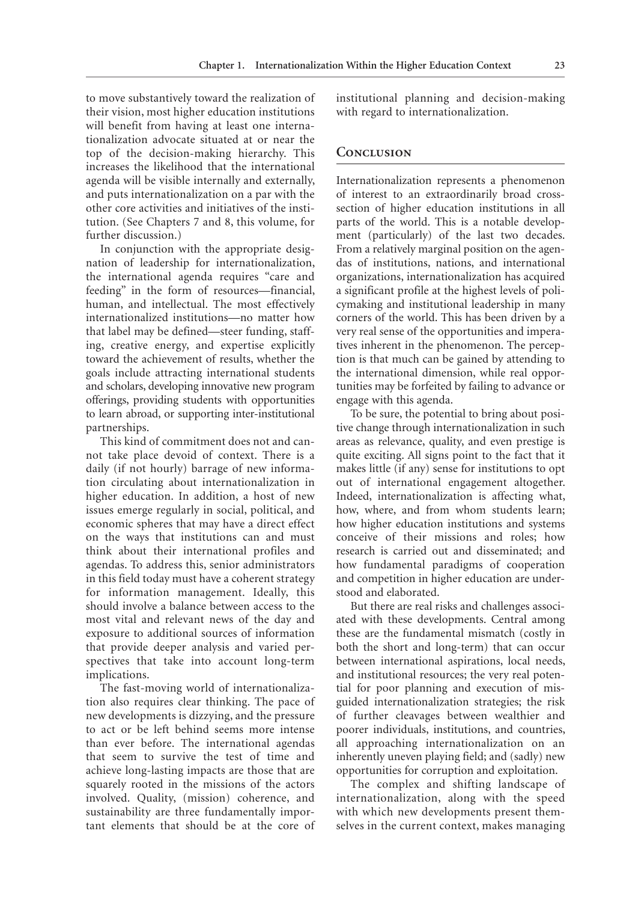to move substantively toward the realization of their vision, most higher education institutions will benefit from having at least one internationalization advocate situated at or near the top of the decision-making hierarchy. This increases the likelihood that the international agenda will be visible internally and externally, and puts internationalization on a par with the other core activities and initiatives of the institution. (See Chapters 7 and 8, this volume, for further discussion.)

In conjunction with the appropriate designation of leadership for internationalization, the international agenda requires "care and feeding" in the form of resources—financial, human, and intellectual. The most effectively internationalized institutions—no matter how that label may be defined—steer funding, staffing, creative energy, and expertise explicitly toward the achievement of results, whether the goals include attracting international students and scholars, developing innovative new program offerings, providing students with opportunities to learn abroad, or supporting inter-institutional partnerships.

This kind of commitment does not and cannot take place devoid of context. There is a daily (if not hourly) barrage of new information circulating about internationalization in higher education. In addition, a host of new issues emerge regularly in social, political, and economic spheres that may have a direct effect on the ways that institutions can and must think about their international profiles and agendas. To address this, senior administrators in this field today must have a coherent strategy for information management. Ideally, this should involve a balance between access to the most vital and relevant news of the day and exposure to additional sources of information that provide deeper analysis and varied perspectives that take into account long-term implications.

The fast-moving world of internationalization also requires clear thinking. The pace of new developments is dizzying, and the pressure to act or be left behind seems more intense than ever before. The international agendas that seem to survive the test of time and achieve long-lasting impacts are those that are squarely rooted in the missions of the actors involved. Quality, (mission) coherence, and sustainability are three fundamentally important elements that should be at the core of

institutional planning and decision-making with regard to internationalization.

#### **Conclusion**

Internationalization represents a phenomenon of interest to an extraordinarily broad crosssection of higher education institutions in all parts of the world. This is a notable development (particularly) of the last two decades. From a relatively marginal position on the agendas of institutions, nations, and international organizations, internationalization has acquired a significant profile at the highest levels of policymaking and institutional leadership in many corners of the world. This has been driven by a very real sense of the opportunities and imperatives inherent in the phenomenon. The perception is that much can be gained by attending to the international dimension, while real opportunities may be forfeited by failing to advance or engage with this agenda.

To be sure, the potential to bring about positive change through internationalization in such areas as relevance, quality, and even prestige is quite exciting. All signs point to the fact that it makes little (if any) sense for institutions to opt out of international engagement altogether. Indeed, internationalization is affecting what, how, where, and from whom students learn; how higher education institutions and systems conceive of their missions and roles; how research is carried out and disseminated; and how fundamental paradigms of cooperation and competition in higher education are understood and elaborated.

But there are real risks and challenges associated with these developments. Central among these are the fundamental mismatch (costly in both the short and long-term) that can occur between international aspirations, local needs, and institutional resources; the very real potential for poor planning and execution of misguided internationalization strategies; the risk of further cleavages between wealthier and poorer individuals, institutions, and countries, all approaching internationalization on an inherently uneven playing field; and (sadly) new opportunities for corruption and exploitation.

The complex and shifting landscape of internationalization, along with the speed with which new developments present themselves in the current context, makes managing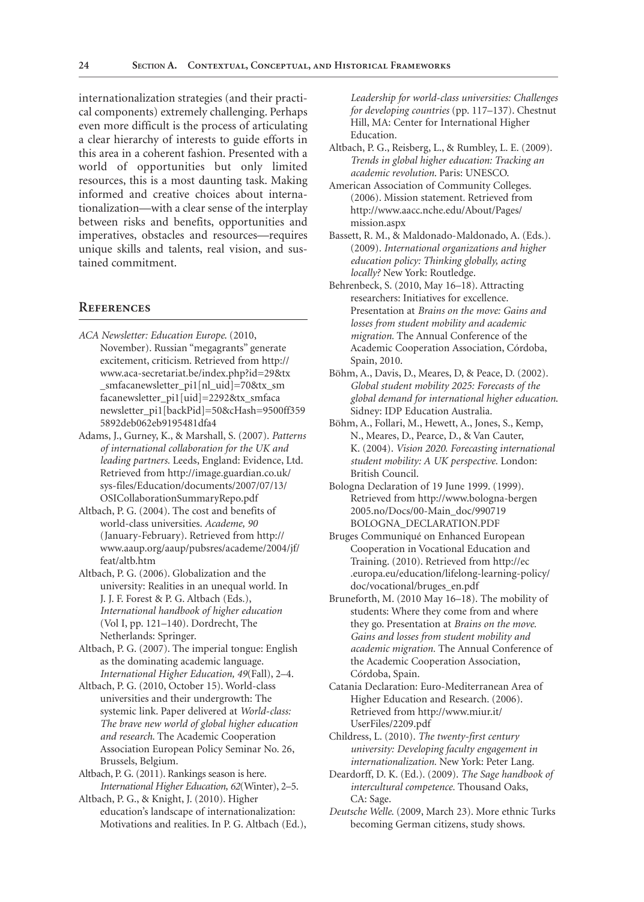internationalization strategies (and their practical components) extremely challenging. Perhaps even more difficult is the process of articulating a clear hierarchy of interests to guide efforts in this area in a coherent fashion. Presented with a world of opportunities but only limited resources, this is a most daunting task. Making informed and creative choices about internationalization—with a clear sense of the interplay between risks and benefits, opportunities and imperatives, obstacles and resources—requires unique skills and talents, real vision, and sustained commitment.

#### **References**

- *ACA Newsletter: Education Europe*. (2010, November). Russian "megagrants" generate excitement, criticism. Retrieved from http:// www.aca-secretariat.be/index.php?id=29&tx \_smfacanewsletter\_pi1[nl\_uid]=70&tx\_sm facanewsletter\_pi1[uid]=2292&tx\_smfaca newsletter\_pi1[backPid]=50&cHash=9500ff359 5892deb062eb9195481dfa4
- Adams, J., Gurney, K., & Marshall, S. (2007). *Patterns of international collaboration for the UK and leading partners.* Leeds, England: Evidence, Ltd. Retrieved from http://image.guardian.co.uk/ sys-files/Education/documents/2007/07/13/ OSICollaborationSummaryRepo.pdf
- Altbach, P. G. (2004). The cost and benefits of world-class universities. *Academe, 90*  (January-February). Retrieved from http:// www.aaup.org/aaup/pubsres/academe/2004/jf/ feat/altb.htm
- Altbach, P. G. (2006). Globalization and the university: Realities in an unequal world. In J. J. F. Forest & P. G. Altbach (Eds*.*), *International handbook of higher education*  (Vol I, pp. 121–140). Dordrecht, The Netherlands: Springer.
- Altbach, P. G. (2007). The imperial tongue: English as the dominating academic language. *International Higher Education, 49*(Fall), 2–4.
- Altbach, P. G. (2010, October 15). World-class universities and their undergrowth: The systemic link. Paper delivered at *World-class: The brave new world of global higher education and research*. The Academic Cooperation Association European Policy Seminar No. 26, Brussels, Belgium.
- Altbach, P. G. (2011). Rankings season is here. *International Higher Education, 62*(Winter), 2–5.
- Altbach, P. G., & Knight, J. (2010). Higher education's landscape of internationalization: Motivations and realities. In P. G. Altbach (Ed.),

*Leadership for world-class universities: Challenges for developing countries* (pp. 117–137). Chestnut Hill, MA: Center for International Higher Education.

- Altbach, P. G., Reisberg, L., & Rumbley, L. E. (2009). *Trends in global higher education: Tracking an academic revolution*. Paris: UNESCO.
- American Association of Community Colleges. (2006). Mission statement. Retrieved from http://www.aacc.nche.edu/About/Pages/ mission.aspx
- Bassett, R. M., & Maldonado-Maldonado, A. (Eds.). (2009). *International organizations and higher education policy: Thinking globally, acting locally?* New York: Routledge.
- Behrenbeck, S. (2010, May 16–18). Attracting researchers: Initiatives for excellence. Presentation at *Brains on the move: Gains and losses from student mobility and academic migration.* The Annual Conference of the Academic Cooperation Association, Córdoba, Spain, 2010.
- Böhm, A., Davis, D., Meares, D, & Peace, D. (2002). *Global student mobility 2025: Forecasts of the global demand for international higher education*. Sidney: IDP Education Australia.
- Böhm, A., Follari, M., Hewett, A., Jones, S., Kemp, N., Meares, D., Pearce, D., & Van Cauter, K. (2004). *Vision 2020. Forecasting international student mobility: A UK perspective.* London: British Council.
- Bologna Declaration of 19 June 1999. (1999). Retrieved from http://www.bologna-bergen 2005.no/Docs/00-Main\_doc/990719 BOLOGNA\_DECLARATION.PDF
- Bruges Communiqué on Enhanced European Cooperation in Vocational Education and Training. (2010). Retrieved from http://ec .europa.eu/education/lifelong-learning-policy/ doc/vocational/bruges\_en.pdf
- Bruneforth, M. (2010 May 16–18). The mobility of students: Where they come from and where they go. Presentation at *Brains on the move. Gains and losses from student mobility and academic migration.* The Annual Conference of the Academic Cooperation Association, Córdoba, Spain.
- Catania Declaration: Euro-Mediterranean Area of Higher Education and Research. (2006). Retrieved from http://www.miur.it/ UserFiles/2209.pdf
- Childress, L. (2010). *The twenty-first century university: Developing faculty engagement in internationalization.* New York: Peter Lang.
- Deardorff, D. K. (Ed.). (2009). *The Sage handbook of intercultural competence.* Thousand Oaks, CA: Sage.
- *Deutsche Welle*. (2009, March 23). More ethnic Turks becoming German citizens, study shows.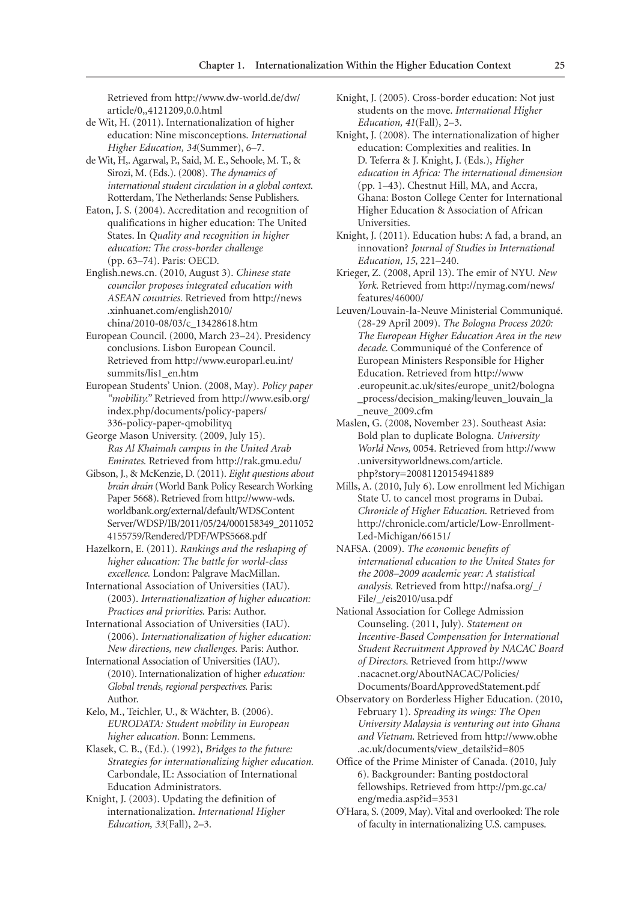Retrieved from http://www.dw-world.de/dw/ article/0,,4121209,0.0.html

- de Wit, H. (2011). Internationalization of higher education: Nine misconceptions. *International Higher Education, 34*(Summer), 6–7.
- de Wit, H,. Agarwal, P., Said, M. E., Sehoole, M. T., & Sirozi, M. (Eds.). (2008). *The dynamics of international student circulation in a global context.* Rotterdam, The Netherlands: Sense Publishers.
- Eaton, J. S. (2004). Accreditation and recognition of qualifications in higher education: The United States. In *Quality and recognition in higher education: The cross-border challenge* (pp. 63–74). Paris: OECD.
- English.news.cn. (2010, August 3). *Chinese state councilor proposes integrated education with ASEAN countries.* Retrieved from http://news .xinhuanet.com/english2010/ china/2010-08/03/c\_13428618.htm
- European Council. (2000, March 23–24). Presidency conclusions. Lisbon European Council. Retrieved from http://www.europarl.eu.int/ summits/lis1\_en.htm
- European Students' Union. (2008, May). *Policy paper "mobility."* Retrieved from http://www.esib.org/ index.php/documents/policy-papers/ 336-policy-paper-qmobilityq
- George Mason University. (2009, July 15). *Ras Al Khaimah campus in the United Arab Emirates.* Retrieved from http://rak.gmu.edu/
- Gibson, J., & McKenzie, D. (2011). *Eight questions about brain drain* (World Bank Policy Research Working Paper 5668). Retrieved from http://www-wds. worldbank.org/external/default/WDSContent Server/WDSP/IB/2011/05/24/000158349\_2011052 4155759/Rendered/PDF/WPS5668.pdf
- Hazelkorn, E. (2011). *Rankings and the reshaping of higher education: The battle for world-class excellence.* London: Palgrave MacMillan.
- International Association of Universities (IAU). (2003). *Internationalization of higher education: Practices and priorities.* Paris: Author.
- International Association of Universities (IAU). (2006). *Internationalization of higher education: New directions, new challenges.* Paris: Author.
- International Association of Universities (IAU). (2010). Internationalization of higher *education: Global trends, regional perspectives.* Paris: Author.
- Kelo, M., Teichler, U., & Wächter, B. (2006). *EURODATA: Student mobility in European higher education.* Bonn: Lemmens.
- Klasek, C. B., (Ed.). (1992), *Bridges to the future: Strategies for internationalizing higher education.*  Carbondale, IL: Association of International Education Administrators.
- Knight, J. (2003). Updating the definition of internationalization. *International Higher Education, 33*(Fall), 2–3.
- Knight, J. (2005). Cross-border education: Not just students on the move. *International Higher Education, 41*(Fall), 2–3.
- Knight, J. (2008). The internationalization of higher education: Complexities and realities. In D. Teferra & J. Knight, J. (Eds.), *Higher education in Africa: The international dimension* (pp. 1–43). Chestnut Hill, MA, and Accra, Ghana: Boston College Center for International Higher Education & Association of African Universities.
- Knight, J. (2011). Education hubs: A fad, a brand, an innovation? *Journal of Studies in International Education, 15*, 221–240.
- Krieger, Z. (2008, April 13). The emir of NYU. *New York.* Retrieved from http://nymag.com/news/ features/46000/
- Leuven/Louvain-la-Neuve Ministerial Communiqué. (28-29 April 2009). *The Bologna Process 2020: The European Higher Education Area in the new decade.* Communiqué of the Conference of European Ministers Responsible for Higher Education. Retrieved from http://www .europeunit.ac.uk/sites/europe\_unit2/bologna \_process/decision\_making/leuven\_louvain\_la \_neuve\_2009.cfm
- Maslen, G. (2008, November 23). Southeast Asia: Bold plan to duplicate Bologna. *University World News,* 0054. Retrieved from http://www .universityworldnews.com/article. php?story=20081120154941889
- Mills, A. (2010, July 6). Low enrollment led Michigan State U. to cancel most programs in Dubai. *Chronicle of Higher Education*. Retrieved from http://chronicle.com/article/Low-Enrollment-Led-Michigan/66151/
- NAFSA. (2009). *The economic benefits of international education to the United States for the 2008–2009 academic year: A statistical analysis.* Retrieved from http://nafsa.org/\_/ File/\_/eis2010/usa.pdf
- National Association for College Admission Counseling. (2011, July). *Statement on Incentive-Based Compensation for International Student Recruitment Approved by NACAC Board of Directors*. Retrieved from http://www .nacacnet.org/AboutNACAC/Policies/ Documents/BoardApprovedStatement.pdf
- Observatory on Borderless Higher Education. (2010, February 1). *Spreading its wings: The Open University Malaysia is venturing out into Ghana and Vietnam*. Retrieved from http://www.obhe .ac.uk/documents/view\_details?id=805
- Office of the Prime Minister of Canada. (2010, July 6). Backgrounder: Banting postdoctoral fellowships. Retrieved from http://pm.gc.ca/ eng/media.asp?id=3531
- O'Hara, S. (2009, May). Vital and overlooked: The role of faculty in internationalizing U.S. campuses.